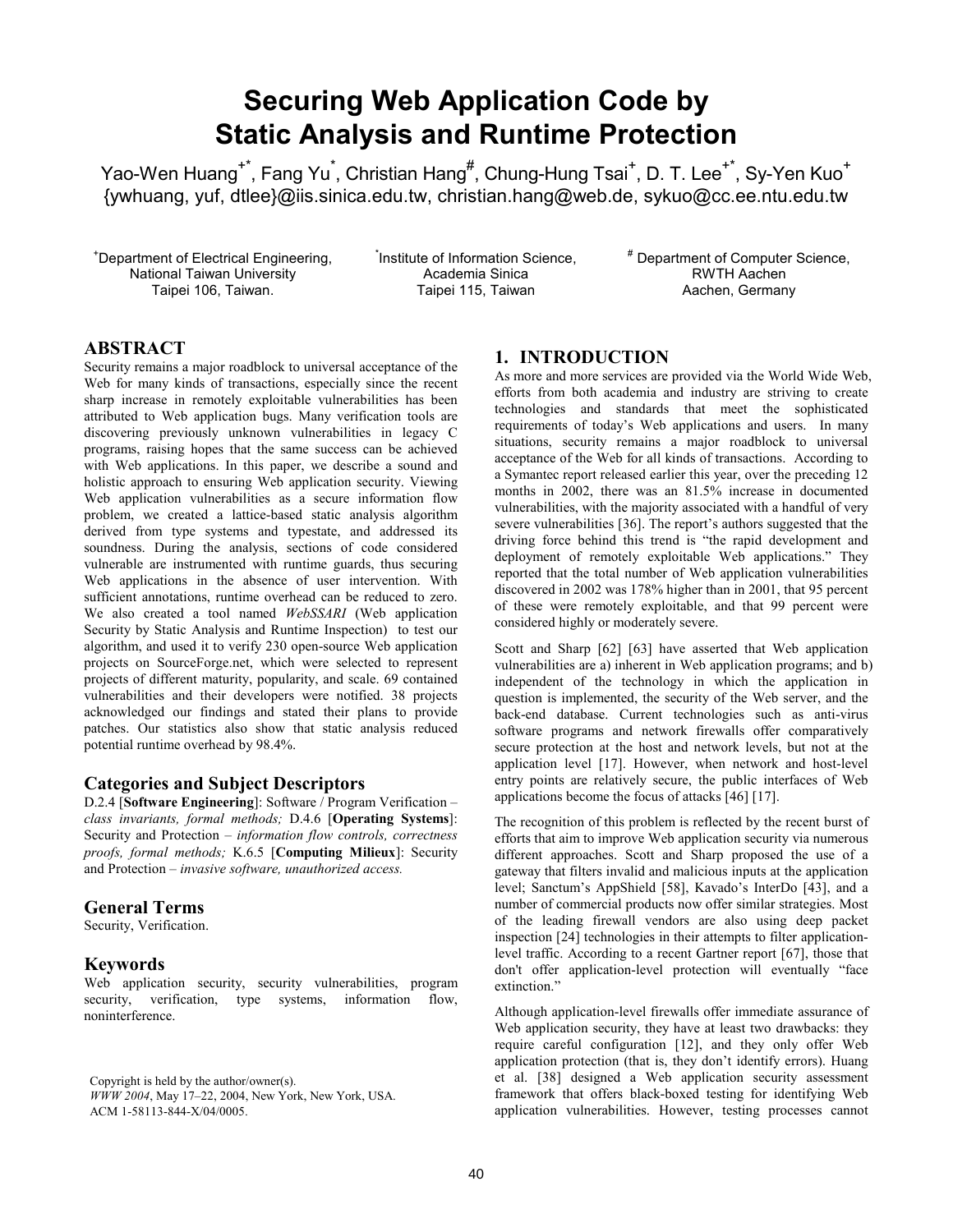# **Securing Web Application Code by Static Analysis and Runtime Protection**

Yao-Wen Huang<sup>+\*</sup>, Fang Yu<sup>\*</sup>, Christian Hang<sup>#</sup>, Chung-Hung Tsai<sup>+</sup>, D. T. Lee<sup>+\*</sup>, Sy-Yen Kuo<sup>+</sup> {ywhuang, yuf, dtlee}@iis.sinica.edu.tw, christian.hang@web.de, sykuo@cc.ee.ntu.edu.tw

+ Department of Electrical Engineering, National Taiwan University Taipei 106, Taiwan.

\* Institute of Information Science, Academia Sinica Taipei 115, Taiwan

# Department of Computer Science, RWTH Aachen Aachen, Germany

### **ABSTRACT**

Security remains a major roadblock to universal acceptance of the Web for many kinds of transactions, especially since the recent sharp increase in remotely exploitable vulnerabilities has been attributed to Web application bugs. Many verification tools are discovering previously unknown vulnerabilities in legacy C programs, raising hopes that the same success can be achieved with Web applications. In this paper, we describe a sound and holistic approach to ensuring Web application security. Viewing Web application vulnerabilities as a secure information flow problem, we created a lattice-based static analysis algorithm derived from type systems and typestate, and addressed its soundness. During the analysis, sections of code considered vulnerable are instrumented with runtime guards, thus securing Web applications in the absence of user intervention. With sufficient annotations, runtime overhead can be reduced to zero. We also created a tool named *WebSSARI* (Web application Security by Static Analysis and Runtime Inspection) to test our algorithm, and used it to verify 230 open-source Web application projects on SourceForge.net, which were selected to represent projects of different maturity, popularity, and scale. 69 contained vulnerabilities and their developers were notified. 38 projects acknowledged our findings and stated their plans to provide patches. Our statistics also show that static analysis reduced potential runtime overhead by 98.4%.

### **Categories and Subject Descriptors**

D.2.4 [**Software Engineering**]: Software / Program Verification – *class invariants, formal methods;* D.4.6 [**Operating Systems**]: Security and Protection – *information flow controls, correctness proofs, formal methods;* K.6.5 [**Computing Milieux**]: Security and Protection – *invasive software, unauthorized access.* 

### **General Terms**

Security, Verification.

### **Keywords**

Web application security, security vulnerabilities, program security, verification, type systems, information flow, noninterference.

Copyright is held by the author/owner(s). *WWW 2004*, May 17–22, 2004, New York, New York, USA. ACM 1-58113-844-X/04/0005.

# **1. INTRODUCTION**

As more and more services are provided via the World Wide Web, efforts from both academia and industry are striving to create technologies and standards that meet the sophisticated requirements of today's Web applications and users. In many situations, security remains a major roadblock to universal acceptance of the Web for all kinds of transactions. According to a Symantec report released earlier this year, over the preceding 12 months in 2002, there was an 81.5% increase in documented vulnerabilities, with the majority associated with a handful of very severe vulnerabilities [36]. The report's authors suggested that the driving force behind this trend is "the rapid development and deployment of remotely exploitable Web applications." They reported that the total number of Web application vulnerabilities discovered in 2002 was 178% higher than in 2001, that 95 percent of these were remotely exploitable, and that 99 percent were considered highly or moderately severe.

Scott and Sharp [62] [63] have asserted that Web application vulnerabilities are a) inherent in Web application programs; and b) independent of the technology in which the application in question is implemented, the security of the Web server, and the back-end database. Current technologies such as anti-virus software programs and network firewalls offer comparatively secure protection at the host and network levels, but not at the application level [17]. However, when network and host-level entry points are relatively secure, the public interfaces of Web applications become the focus of attacks [46] [17].

The recognition of this problem is reflected by the recent burst of efforts that aim to improve Web application security via numerous different approaches. Scott and Sharp proposed the use of a gateway that filters invalid and malicious inputs at the application level; Sanctum's AppShield [58], Kavado's InterDo [43], and a number of commercial products now offer similar strategies. Most of the leading firewall vendors are also using deep packet inspection [24] technologies in their attempts to filter applicationlevel traffic. According to a recent Gartner report [67], those that don't offer application-level protection will eventually "face extinction."

Although application-level firewalls offer immediate assurance of Web application security, they have at least two drawbacks: they require careful configuration [12], and they only offer Web application protection (that is, they don't identify errors). Huang et al. [38] designed a Web application security assessment framework that offers black-boxed testing for identifying Web application vulnerabilities. However, testing processes cannot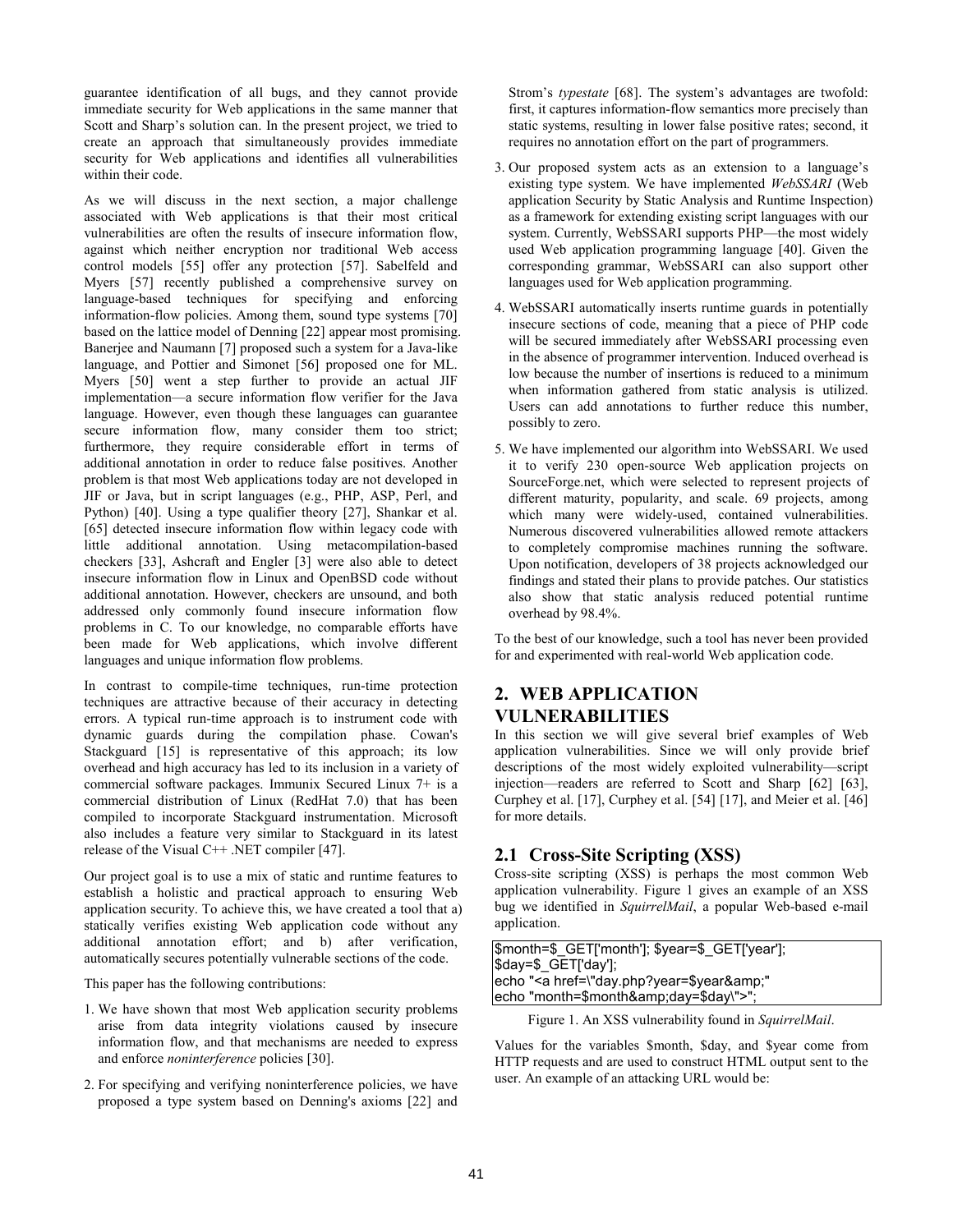guarantee identification of all bugs, and they cannot provide immediate security for Web applications in the same manner that Scott and Sharp's solution can. In the present project, we tried to create an approach that simultaneously provides immediate security for Web applications and identifies all vulnerabilities within their code.

As we will discuss in the next section, a major challenge associated with Web applications is that their most critical vulnerabilities are often the results of insecure information flow, against which neither encryption nor traditional Web access control models [55] offer any protection [57]. Sabelfeld and Myers [57] recently published a comprehensive survey on language-based techniques for specifying and enforcing information-flow policies. Among them, sound type systems [70] based on the lattice model of Denning [22] appear most promising. Banerjee and Naumann [7] proposed such a system for a Java-like language, and Pottier and Simonet [56] proposed one for ML. Myers [50] went a step further to provide an actual JIF implementation—a secure information flow verifier for the Java language. However, even though these languages can guarantee secure information flow, many consider them too strict; furthermore, they require considerable effort in terms of additional annotation in order to reduce false positives. Another problem is that most Web applications today are not developed in JIF or Java, but in script languages (e.g., PHP, ASP, Perl, and Python) [40]. Using a type qualifier theory [27], Shankar et al. [65] detected insecure information flow within legacy code with little additional annotation. Using metacompilation-based checkers [33], Ashcraft and Engler [3] were also able to detect insecure information flow in Linux and OpenBSD code without additional annotation. However, checkers are unsound, and both addressed only commonly found insecure information flow problems in C. To our knowledge, no comparable efforts have been made for Web applications, which involve different languages and unique information flow problems.

In contrast to compile-time techniques, run-time protection techniques are attractive because of their accuracy in detecting errors. A typical run-time approach is to instrument code with dynamic guards during the compilation phase. Cowan's Stackguard [15] is representative of this approach; its low overhead and high accuracy has led to its inclusion in a variety of commercial software packages. Immunix Secured Linux 7+ is a commercial distribution of Linux (RedHat 7.0) that has been compiled to incorporate Stackguard instrumentation. Microsoft also includes a feature very similar to Stackguard in its latest release of the Visual C++ .NET compiler [47].

Our project goal is to use a mix of static and runtime features to establish a holistic and practical approach to ensuring Web application security. To achieve this, we have created a tool that a) statically verifies existing Web application code without any additional annotation effort; and b) after verification, automatically secures potentially vulnerable sections of the code.

This paper has the following contributions:

- 1. We have shown that most Web application security problems arise from data integrity violations caused by insecure information flow, and that mechanisms are needed to express and enforce *noninterference* policies [30].
- 2. For specifying and verifying noninterference policies, we have proposed a type system based on Denning's axioms [22] and

Strom's *typestate* [68]. The system's advantages are twofold: first, it captures information-flow semantics more precisely than static systems, resulting in lower false positive rates; second, it requires no annotation effort on the part of programmers.

- 3. Our proposed system acts as an extension to a language's existing type system. We have implemented *WebSSARI* (Web application Security by Static Analysis and Runtime Inspection) as a framework for extending existing script languages with our system. Currently, WebSSARI supports PHP—the most widely used Web application programming language [40]. Given the corresponding grammar, WebSSARI can also support other languages used for Web application programming.
- 4. WebSSARI automatically inserts runtime guards in potentially insecure sections of code, meaning that a piece of PHP code will be secured immediately after WebSSARI processing even in the absence of programmer intervention. Induced overhead is low because the number of insertions is reduced to a minimum when information gathered from static analysis is utilized. Users can add annotations to further reduce this number, possibly to zero.
- 5. We have implemented our algorithm into WebSSARI. We used it to verify 230 open-source Web application projects on SourceForge.net, which were selected to represent projects of different maturity, popularity, and scale. 69 projects, among which many were widely-used, contained vulnerabilities. Numerous discovered vulnerabilities allowed remote attackers to completely compromise machines running the software. Upon notification, developers of 38 projects acknowledged our findings and stated their plans to provide patches. Our statistics also show that static analysis reduced potential runtime overhead by 98.4%.

To the best of our knowledge, such a tool has never been provided for and experimented with real-world Web application code.

# **2. WEB APPLICATION VULNERABILITIES**

In this section we will give several brief examples of Web application vulnerabilities. Since we will only provide brief descriptions of the most widely exploited vulnerability—script injection—readers are referred to Scott and Sharp [62] [63], Curphey et al. [17], Curphey et al. [54] [17], and Meier et al. [46] for more details.

# **2.1 Cross-Site Scripting (XSS)**

Cross-site scripting (XSS) is perhaps the most common Web application vulnerability. Figure 1 gives an example of an XSS bug we identified in *SquirrelMail*, a popular Web-based e-mail application.

\$month=\$\_GET['month']; \$year=\$\_GET['year']; \$day=\$\_GET['day']; echo "<a href=\"day.php?year=\$year&amp;" echo "month=\$month&day=\$day\">";

Figure 1. An XSS vulnerability found in *SquirrelMail*.

Values for the variables \$month, \$day, and \$year come from HTTP requests and are used to construct HTML output sent to the user. An example of an attacking URL would be: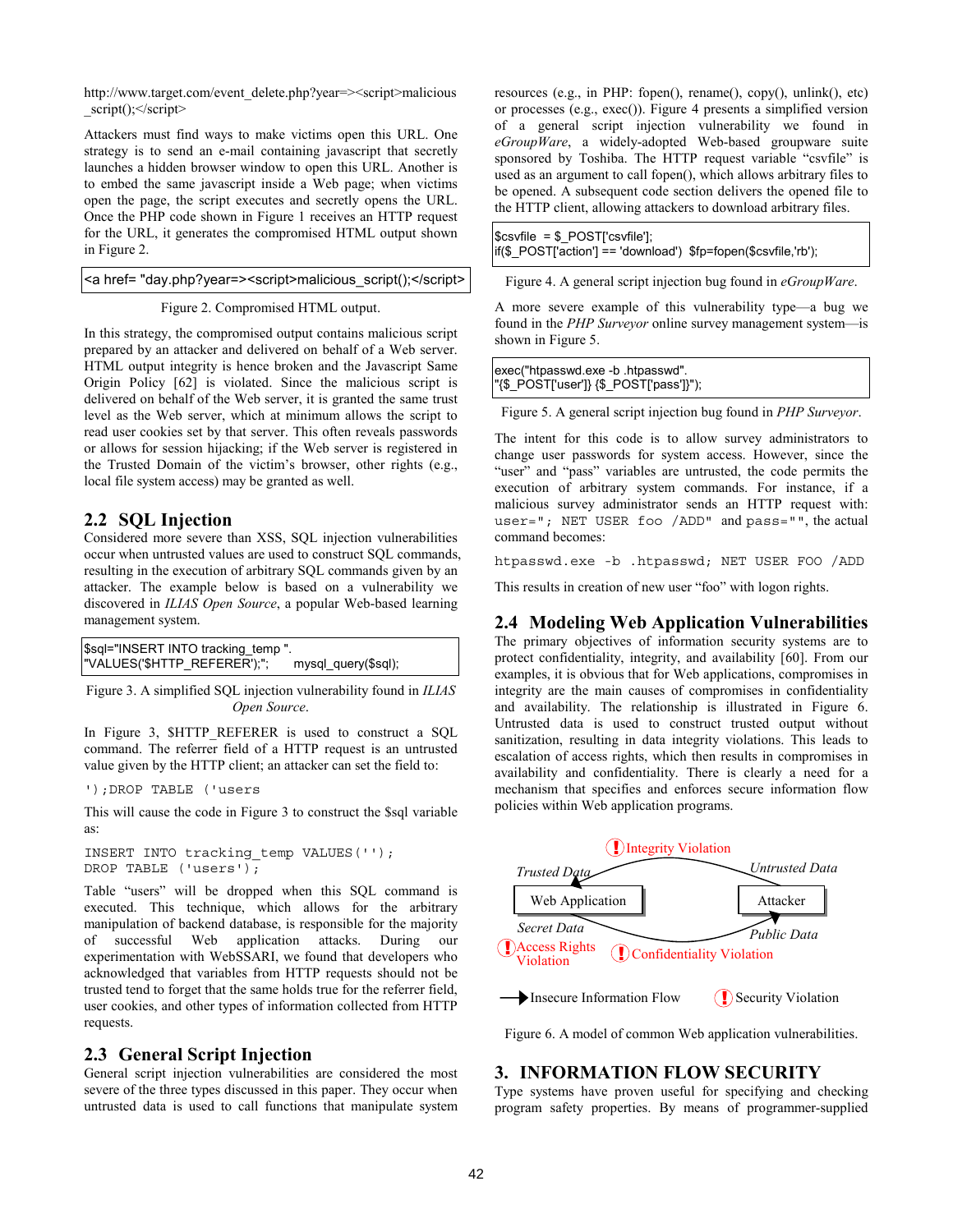http://www.target.com/event\_delete.php?year=><script>malicious script();</script>

Attackers must find ways to make victims open this URL. One strategy is to send an e-mail containing javascript that secretly launches a hidden browser window to open this URL. Another is to embed the same javascript inside a Web page; when victims open the page, the script executes and secretly opens the URL. Once the PHP code shown in Figure 1 receives an HTTP request for the URL, it generates the compromised HTML output shown in Figure 2.

<a href= "day.php?year=><script>malicious\_script();</script>

#### Figure 2. Compromised HTML output.

In this strategy, the compromised output contains malicious script prepared by an attacker and delivered on behalf of a Web server. HTML output integrity is hence broken and the Javascript Same Origin Policy [62] is violated. Since the malicious script is delivered on behalf of the Web server, it is granted the same trust level as the Web server, which at minimum allows the script to read user cookies set by that server. This often reveals passwords or allows for session hijacking; if the Web server is registered in the Trusted Domain of the victim's browser, other rights (e.g., local file system access) may be granted as well.

#### **2.2 SQL Injection**

Considered more severe than XSS, SQL injection vulnerabilities occur when untrusted values are used to construct SQL commands, resulting in the execution of arbitrary SQL commands given by an attacker. The example below is based on a vulnerability we discovered in *ILIAS Open Source*, a popular Web-based learning management system.

| \$sql="INSERT INTO tracking temp". |                     |
|------------------------------------|---------------------|
| "VALUES('\$HTTP REFERER');";       | mysql_query(\$sql); |

Figure 3. A simplified SQL injection vulnerability found in *ILIAS Open Source*.

In Figure 3, \$HTTP REFERER is used to construct a SQL command. The referrer field of a HTTP request is an untrusted value given by the HTTP client; an attacker can set the field to:

```
');DROP TABLE ('users
```
This will cause the code in Figure 3 to construct the \$sql variable as:

INSERT INTO tracking temp VALUES(''); DROP TABLE  $('users')$ ;

Table "users" will be dropped when this SQL command is executed. This technique, which allows for the arbitrary manipulation of backend database, is responsible for the majority of successful Web application attacks. During our experimentation with WebSSARI, we found that developers who acknowledged that variables from HTTP requests should not be trusted tend to forget that the same holds true for the referrer field, user cookies, and other types of information collected from HTTP requests.

### **2.3 General Script Injection**

General script injection vulnerabilities are considered the most severe of the three types discussed in this paper. They occur when untrusted data is used to call functions that manipulate system resources (e.g., in PHP: fopen(), rename(), copy(), unlink(), etc) or processes (e.g., exec()). Figure 4 presents a simplified version of a general script injection vulnerability we found in *eGroupWare*, a widely-adopted Web-based groupware suite sponsored by Toshiba. The HTTP request variable "csvfile" is used as an argument to call fopen(), which allows arbitrary files to be opened. A subsequent code section delivers the opened file to the HTTP client, allowing attackers to download arbitrary files.

#### \$csvfile = \$ POST['csvfile']; if(\$\_POST['action'] == 'download') \$fp=fopen(\$csvfile,'rb');

Figure 4. A general script injection bug found in *eGroupWare*.

A more severe example of this vulnerability type—a bug we found in the *PHP Surveyor* online survey management system—is shown in Figure 5.

| exec("htpasswd.exe-b.htpasswd". |  |
|---------------------------------|--|
|                                 |  |

Figure 5. A general script injection bug found in *PHP Surveyor*.

The intent for this code is to allow survey administrators to change user passwords for system access. However, since the "user" and "pass" variables are untrusted, the code permits the execution of arbitrary system commands. For instance, if a malicious survey administrator sends an HTTP request with: user="; NET USER foo /ADD" and pass="", the actual command becomes:

htpasswd.exe -b .htpasswd; NET USER FOO /ADD

This results in creation of new user "foo" with logon rights.

### **2.4 Modeling Web Application Vulnerabilities**

The primary objectives of information security systems are to protect confidentiality, integrity, and availability [60]. From our examples, it is obvious that for Web applications, compromises in integrity are the main causes of compromises in confidentiality and availability. The relationship is illustrated in Figure 6. Untrusted data is used to construct trusted output without sanitization, resulting in data integrity violations. This leads to escalation of access rights, which then results in compromises in availability and confidentiality. There is clearly a need for a mechanism that specifies and enforces secure information flow policies within Web application programs.



Figure 6. A model of common Web application vulnerabilities.

#### **3. INFORMATION FLOW SECURITY**

Type systems have proven useful for specifying and checking program safety properties. By means of programmer-supplied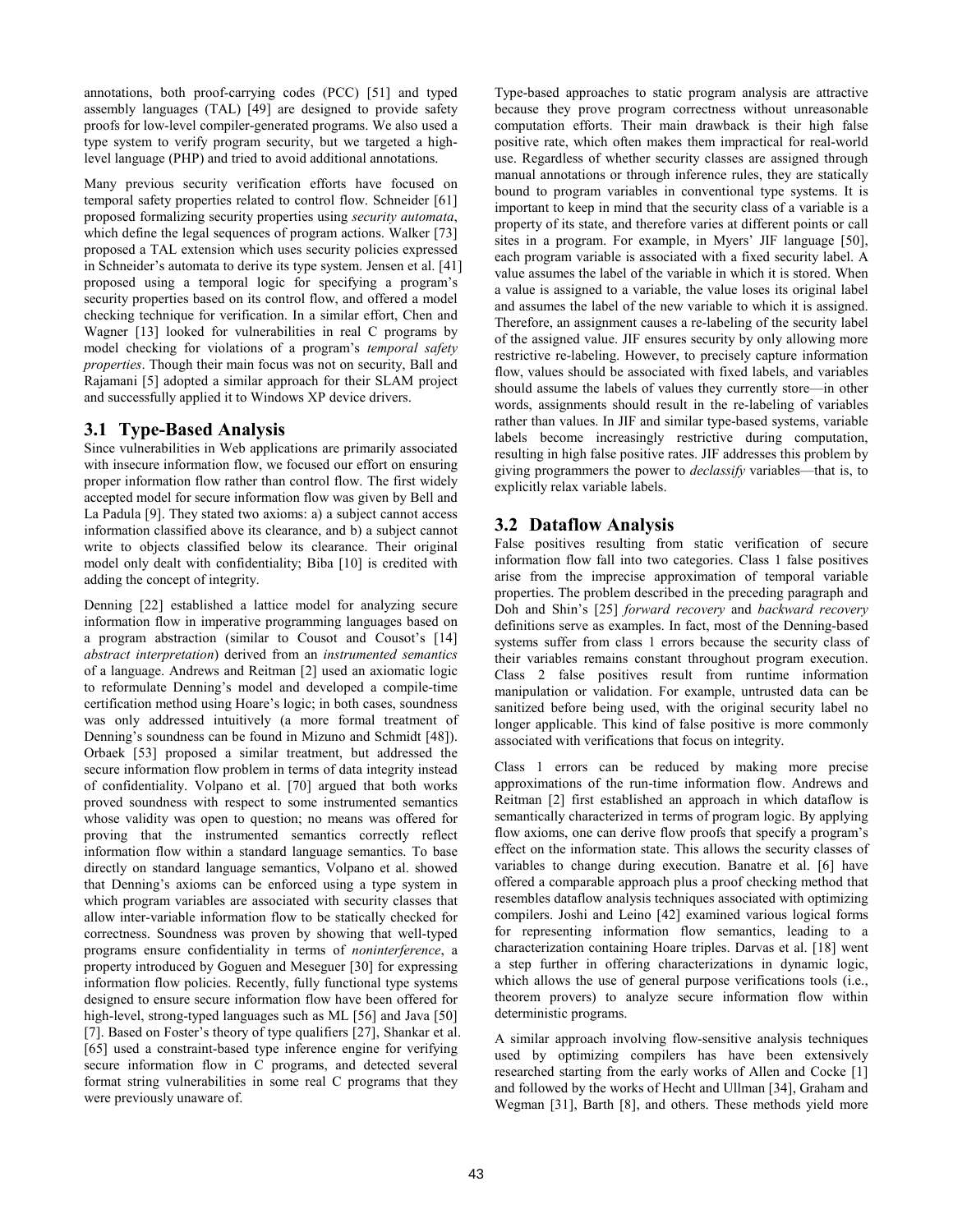annotations, both proof-carrying codes (PCC) [51] and typed assembly languages (TAL) [49] are designed to provide safety proofs for low-level compiler-generated programs. We also used a type system to verify program security, but we targeted a highlevel language (PHP) and tried to avoid additional annotations.

Many previous security verification efforts have focused on temporal safety properties related to control flow. Schneider [61] proposed formalizing security properties using *security automata*, which define the legal sequences of program actions. Walker [73] proposed a TAL extension which uses security policies expressed in Schneider's automata to derive its type system. Jensen et al. [41] proposed using a temporal logic for specifying a program's security properties based on its control flow, and offered a model checking technique for verification. In a similar effort, Chen and Wagner [13] looked for vulnerabilities in real C programs by model checking for violations of a program's *temporal safety properties*. Though their main focus was not on security, Ball and Rajamani [5] adopted a similar approach for their SLAM project and successfully applied it to Windows XP device drivers.

### **3.1 Type-Based Analysis**

Since vulnerabilities in Web applications are primarily associated with insecure information flow, we focused our effort on ensuring proper information flow rather than control flow. The first widely accepted model for secure information flow was given by Bell and La Padula [9]. They stated two axioms: a) a subject cannot access information classified above its clearance, and b) a subject cannot write to objects classified below its clearance. Their original model only dealt with confidentiality; Biba [10] is credited with adding the concept of integrity.

Denning [22] established a lattice model for analyzing secure information flow in imperative programming languages based on a program abstraction (similar to Cousot and Cousot's [14] *abstract interpretation*) derived from an *instrumented semantics* of a language. Andrews and Reitman [2] used an axiomatic logic to reformulate Denning's model and developed a compile-time certification method using Hoare's logic; in both cases, soundness was only addressed intuitively (a more formal treatment of Denning's soundness can be found in Mizuno and Schmidt [48]). Orbaek [53] proposed a similar treatment, but addressed the secure information flow problem in terms of data integrity instead of confidentiality. Volpano et al. [70] argued that both works proved soundness with respect to some instrumented semantics whose validity was open to question; no means was offered for proving that the instrumented semantics correctly reflect information flow within a standard language semantics. To base directly on standard language semantics, Volpano et al. showed that Denning's axioms can be enforced using a type system in which program variables are associated with security classes that allow inter-variable information flow to be statically checked for correctness. Soundness was proven by showing that well-typed programs ensure confidentiality in terms of *noninterference*, a property introduced by Goguen and Meseguer [30] for expressing information flow policies. Recently, fully functional type systems designed to ensure secure information flow have been offered for high-level, strong-typed languages such as ML [56] and Java [50] [7]. Based on Foster's theory of type qualifiers [27], Shankar et al. [65] used a constraint-based type inference engine for verifying secure information flow in C programs, and detected several format string vulnerabilities in some real C programs that they were previously unaware of.

Type-based approaches to static program analysis are attractive because they prove program correctness without unreasonable computation efforts. Their main drawback is their high false positive rate, which often makes them impractical for real-world use. Regardless of whether security classes are assigned through manual annotations or through inference rules, they are statically bound to program variables in conventional type systems. It is important to keep in mind that the security class of a variable is a property of its state, and therefore varies at different points or call sites in a program. For example, in Myers' JIF language [50], each program variable is associated with a fixed security label. A value assumes the label of the variable in which it is stored. When a value is assigned to a variable, the value loses its original label and assumes the label of the new variable to which it is assigned. Therefore, an assignment causes a re-labeling of the security label of the assigned value. JIF ensures security by only allowing more restrictive re-labeling. However, to precisely capture information flow, values should be associated with fixed labels, and variables should assume the labels of values they currently store—in other words, assignments should result in the re-labeling of variables rather than values. In JIF and similar type-based systems, variable labels become increasingly restrictive during computation, resulting in high false positive rates. JIF addresses this problem by giving programmers the power to *declassify* variables—that is, to explicitly relax variable labels.

### **3.2 Dataflow Analysis**

False positives resulting from static verification of secure information flow fall into two categories. Class 1 false positives arise from the imprecise approximation of temporal variable properties. The problem described in the preceding paragraph and Doh and Shin's [25] *forward recovery* and *backward recovery* definitions serve as examples. In fact, most of the Denning-based systems suffer from class 1 errors because the security class of their variables remains constant throughout program execution. Class 2 false positives result from runtime information manipulation or validation. For example, untrusted data can be sanitized before being used, with the original security label no longer applicable. This kind of false positive is more commonly associated with verifications that focus on integrity.

Class 1 errors can be reduced by making more precise approximations of the run-time information flow. Andrews and Reitman [2] first established an approach in which dataflow is semantically characterized in terms of program logic. By applying flow axioms, one can derive flow proofs that specify a program's effect on the information state. This allows the security classes of variables to change during execution. Banatre et al. [6] have offered a comparable approach plus a proof checking method that resembles dataflow analysis techniques associated with optimizing compilers. Joshi and Leino [42] examined various logical forms for representing information flow semantics, leading to a characterization containing Hoare triples. Darvas et al. [18] went a step further in offering characterizations in dynamic logic, which allows the use of general purpose verifications tools (i.e., theorem provers) to analyze secure information flow within deterministic programs.

A similar approach involving flow-sensitive analysis techniques used by optimizing compilers has have been extensively researched starting from the early works of Allen and Cocke [1] and followed by the works of Hecht and Ullman [34], Graham and Wegman [31], Barth [8], and others. These methods yield more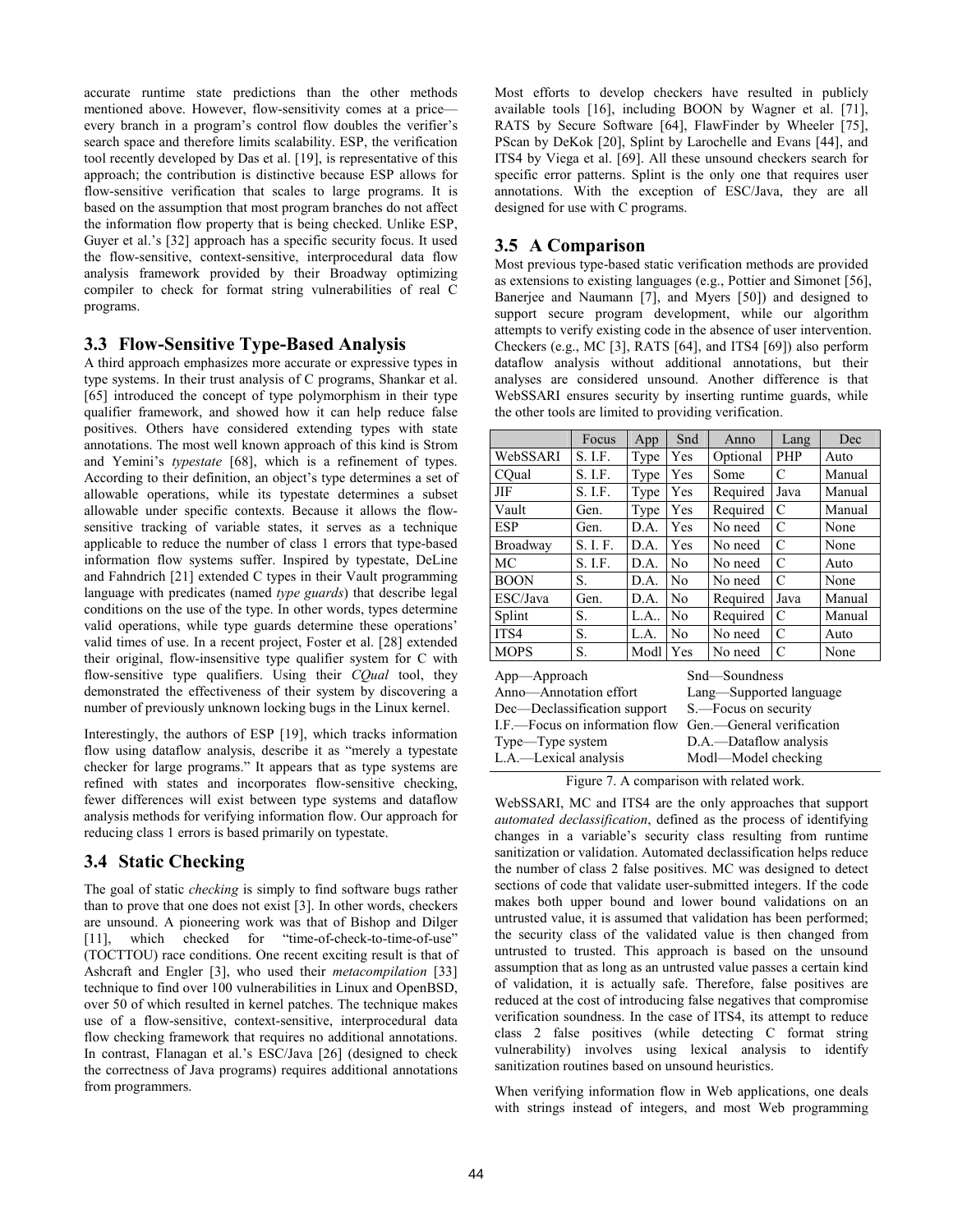accurate runtime state predictions than the other methods mentioned above. However, flow-sensitivity comes at a price every branch in a program's control flow doubles the verifier's search space and therefore limits scalability. ESP, the verification tool recently developed by Das et al. [19], is representative of this approach; the contribution is distinctive because ESP allows for flow-sensitive verification that scales to large programs. It is based on the assumption that most program branches do not affect the information flow property that is being checked. Unlike ESP, Guyer et al.'s [32] approach has a specific security focus. It used the flow-sensitive, context-sensitive, interprocedural data flow analysis framework provided by their Broadway optimizing compiler to check for format string vulnerabilities of real C programs.

### **3.3 Flow-Sensitive Type-Based Analysis**

A third approach emphasizes more accurate or expressive types in type systems. In their trust analysis of C programs, Shankar et al. [65] introduced the concept of type polymorphism in their type qualifier framework, and showed how it can help reduce false positives. Others have considered extending types with state annotations. The most well known approach of this kind is Strom and Yemini's *typestate* [68], which is a refinement of types. According to their definition, an object's type determines a set of allowable operations, while its typestate determines a subset allowable under specific contexts. Because it allows the flowsensitive tracking of variable states, it serves as a technique applicable to reduce the number of class 1 errors that type-based information flow systems suffer. Inspired by typestate, DeLine and Fahndrich [21] extended C types in their Vault programming language with predicates (named *type guards*) that describe legal conditions on the use of the type. In other words, types determine valid operations, while type guards determine these operations' valid times of use. In a recent project, Foster et al. [28] extended their original, flow-insensitive type qualifier system for C with flow-sensitive type qualifiers. Using their *CQual* tool, they demonstrated the effectiveness of their system by discovering a number of previously unknown locking bugs in the Linux kernel.

Interestingly, the authors of ESP [19], which tracks information flow using dataflow analysis, describe it as "merely a typestate checker for large programs." It appears that as type systems are refined with states and incorporates flow-sensitive checking, fewer differences will exist between type systems and dataflow analysis methods for verifying information flow. Our approach for reducing class 1 errors is based primarily on typestate.

# **3.4 Static Checking**

The goal of static *checking* is simply to find software bugs rather than to prove that one does not exist [3]. In other words, checkers are unsound. A pioneering work was that of Bishop and Dilger [11], which checked for "time-of-check-to-time-of-use" (TOCTTOU) race conditions. One recent exciting result is that of Ashcraft and Engler [3], who used their *metacompilation* [33] technique to find over 100 vulnerabilities in Linux and OpenBSD, over 50 of which resulted in kernel patches. The technique makes use of a flow-sensitive, context-sensitive, interprocedural data flow checking framework that requires no additional annotations. In contrast, Flanagan et al.'s ESC/Java [26] (designed to check the correctness of Java programs) requires additional annotations from programmers.

Most efforts to develop checkers have resulted in publicly available tools [16], including BOON by Wagner et al. [71], RATS by Secure Software [64], FlawFinder by Wheeler [75], PScan by DeKok [20], Splint by Larochelle and Evans [44], and ITS4 by Viega et al. [69]. All these unsound checkers search for specific error patterns. Splint is the only one that requires user annotations. With the exception of ESC/Java, they are all designed for use with C programs.

# **3.5 A Comparison**

Most previous type-based static verification methods are provided as extensions to existing languages (e.g., Pottier and Simonet [56], Banerjee and Naumann [7], and Myers [50]) and designed to support secure program development, while our algorithm attempts to verify existing code in the absence of user intervention. Checkers (e.g., MC [3], RATS [64], and ITS4 [69]) also perform dataflow analysis without additional annotations, but their analyses are considered unsound. Another difference is that WebSSARI ensures security by inserting runtime guards, while the other tools are limited to providing verification.

|                                                      | Focus                                      | App  | Snd            | Anno                      | Lang       | Dec    |  |  |
|------------------------------------------------------|--------------------------------------------|------|----------------|---------------------------|------------|--------|--|--|
| WebSSARI                                             | S. I.F.                                    | Type | Yes            | Optional                  | <b>PHP</b> | Auto   |  |  |
| CQual                                                | S. I.F.                                    | Type | Yes            | Some                      | C          | Manual |  |  |
| ЛF                                                   | S. I.F.                                    | Type | Yes            | Required                  | Java       | Manual |  |  |
| Vault                                                | Gen.                                       | Type | Yes            | Required                  | C          | Manual |  |  |
| <b>ESP</b>                                           | Gen.                                       | D.A. | Yes            | No need                   | C          | None   |  |  |
| Broadway                                             | S. I. F.                                   | D.A. | Yes            | No need                   | C          | None   |  |  |
| MC                                                   | S. I.F.                                    | D.A. | N <sub>0</sub> | No need                   | C          | Auto   |  |  |
| <b>BOON</b>                                          | S.                                         | D.A. | N <sub>0</sub> | No need                   | C          | None   |  |  |
| ESC/Java                                             | Gen.                                       | D.A. | No             | Required                  | Java       | Manual |  |  |
| Splint                                               | S.                                         | L.A. | N <sub>0</sub> | Required                  | C          | Manual |  |  |
| ITS4                                                 | S.                                         | L.A. | N <sub>0</sub> | No need                   | C          | Auto   |  |  |
| <b>MOPS</b>                                          | S.                                         | Modl | Yes            | No need                   | C          | None   |  |  |
| App—Approach                                         |                                            |      |                | Snd—Soundness             |            |        |  |  |
| Anno—Annotation effort                               |                                            |      |                | Lang—Supported language   |            |        |  |  |
| S.—Focus on security<br>Dec—Declassification support |                                            |      |                |                           |            |        |  |  |
| I.F.—Focus on information flow                       |                                            |      |                | Gen.—General verification |            |        |  |  |
|                                                      | Type—Type system<br>D.A.—Dataflow analysis |      |                |                           |            |        |  |  |
| L.A.—Lexical analysis<br>Modl—Model checking         |                                            |      |                |                           |            |        |  |  |

Figure 7. A comparison with related work.

WebSSARI, MC and ITS4 are the only approaches that support *automated declassification*, defined as the process of identifying changes in a variable's security class resulting from runtime sanitization or validation. Automated declassification helps reduce the number of class 2 false positives. MC was designed to detect sections of code that validate user-submitted integers. If the code makes both upper bound and lower bound validations on an untrusted value, it is assumed that validation has been performed; the security class of the validated value is then changed from untrusted to trusted. This approach is based on the unsound assumption that as long as an untrusted value passes a certain kind of validation, it is actually safe. Therefore, false positives are reduced at the cost of introducing false negatives that compromise verification soundness. In the case of ITS4, its attempt to reduce class 2 false positives (while detecting C format string vulnerability) involves using lexical analysis to identify sanitization routines based on unsound heuristics.

When verifying information flow in Web applications, one deals with strings instead of integers, and most Web programming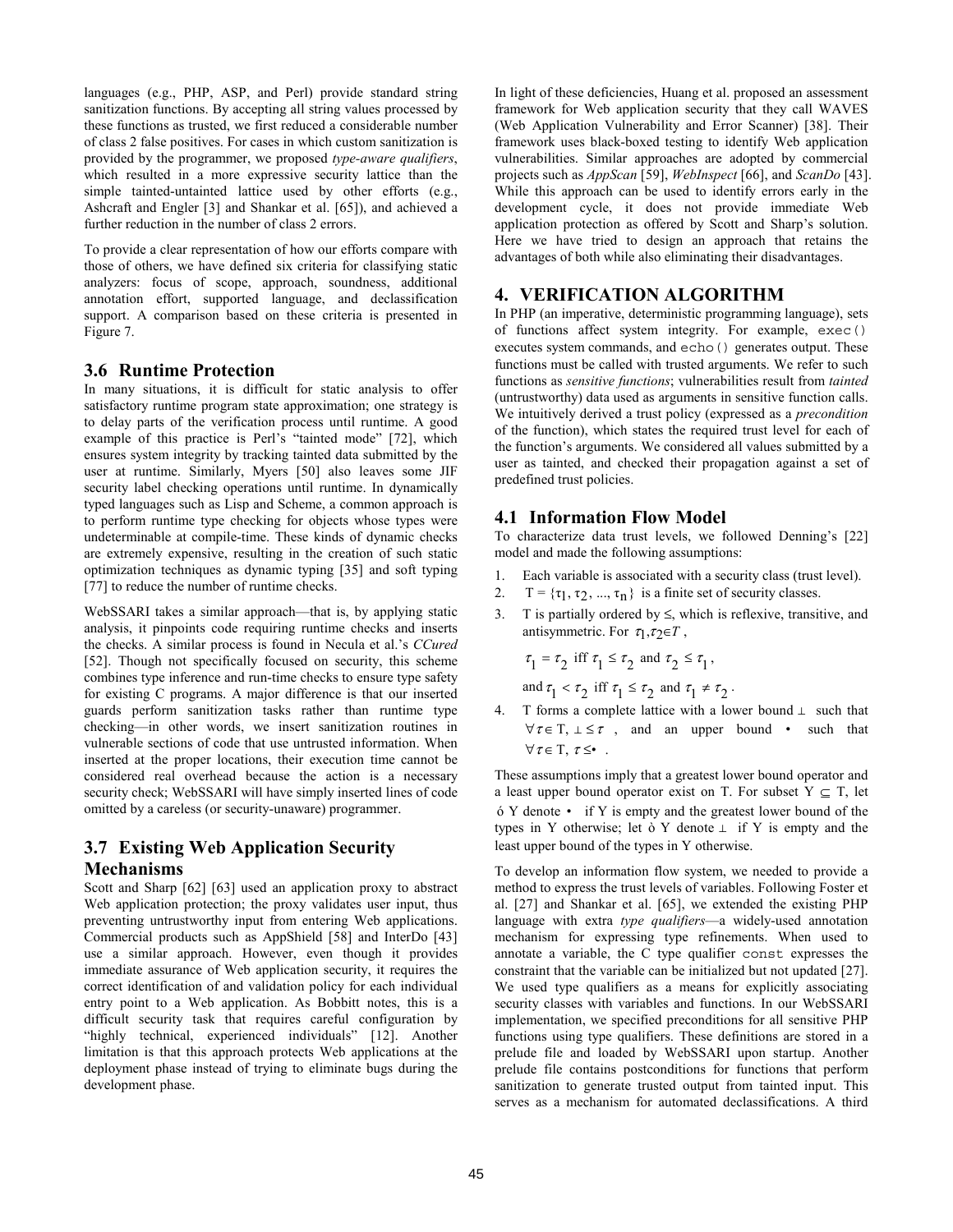languages (e.g., PHP, ASP, and Perl) provide standard string sanitization functions. By accepting all string values processed by these functions as trusted, we first reduced a considerable number of class 2 false positives. For cases in which custom sanitization is provided by the programmer, we proposed *type-aware qualifiers*, which resulted in a more expressive security lattice than the simple tainted-untainted lattice used by other efforts (e.g., Ashcraft and Engler [3] and Shankar et al. [65]), and achieved a further reduction in the number of class 2 errors.

To provide a clear representation of how our efforts compare with those of others, we have defined six criteria for classifying static analyzers: focus of scope, approach, soundness, additional annotation effort, supported language, and declassification support. A comparison based on these criteria is presented in Figure 7.

### **3.6 Runtime Protection**

In many situations, it is difficult for static analysis to offer satisfactory runtime program state approximation; one strategy is to delay parts of the verification process until runtime. A good example of this practice is Perl's "tainted mode" [72], which ensures system integrity by tracking tainted data submitted by the user at runtime. Similarly, Myers [50] also leaves some JIF security label checking operations until runtime. In dynamically typed languages such as Lisp and Scheme, a common approach is to perform runtime type checking for objects whose types were undeterminable at compile-time. These kinds of dynamic checks are extremely expensive, resulting in the creation of such static optimization techniques as dynamic typing [35] and soft typing [77] to reduce the number of runtime checks.

WebSSARI takes a similar approach—that is, by applying static analysis, it pinpoints code requiring runtime checks and inserts the checks. A similar process is found in Necula et al.'s *CCured* [52]. Though not specifically focused on security, this scheme combines type inference and run-time checks to ensure type safety for existing C programs. A major difference is that our inserted guards perform sanitization tasks rather than runtime type checking—in other words, we insert sanitization routines in vulnerable sections of code that use untrusted information. When inserted at the proper locations, their execution time cannot be considered real overhead because the action is a necessary security check; WebSSARI will have simply inserted lines of code omitted by a careless (or security-unaware) programmer.

### **3.7 Existing Web Application Security Mechanisms**

Scott and Sharp [62] [63] used an application proxy to abstract Web application protection; the proxy validates user input, thus preventing untrustworthy input from entering Web applications. Commercial products such as AppShield [58] and InterDo [43] use a similar approach. However, even though it provides immediate assurance of Web application security, it requires the correct identification of and validation policy for each individual entry point to a Web application. As Bobbitt notes, this is a difficult security task that requires careful configuration by "highly technical, experienced individuals" [12]. Another limitation is that this approach protects Web applications at the deployment phase instead of trying to eliminate bugs during the development phase.

In light of these deficiencies, Huang et al. proposed an assessment framework for Web application security that they call WAVES (Web Application Vulnerability and Error Scanner) [38]. Their framework uses black-boxed testing to identify Web application vulnerabilities. Similar approaches are adopted by commercial projects such as *AppScan* [59], *WebInspect* [66], and *ScanDo* [43]. While this approach can be used to identify errors early in the development cycle, it does not provide immediate Web application protection as offered by Scott and Sharp's solution. Here we have tried to design an approach that retains the advantages of both while also eliminating their disadvantages.

# **4. VERIFICATION ALGORITHM**

In PHP (an imperative, deterministic programming language), sets of functions affect system integrity. For example, exec() executes system commands, and echo() generates output. These functions must be called with trusted arguments. We refer to such functions as *sensitive functions*; vulnerabilities result from *tainted* (untrustworthy) data used as arguments in sensitive function calls. We intuitively derived a trust policy (expressed as a *precondition* of the function), which states the required trust level for each of the function's arguments. We considered all values submitted by a user as tainted, and checked their propagation against a set of predefined trust policies.

### **4.1 Information Flow Model**

To characterize data trust levels, we followed Denning's [22] model and made the following assumptions:

- 1. Each variable is associated with a security class (trust level).
- 2.  $T = {\tau_1, \tau_2, ..., \tau_n}$  is a finite set of security classes.
- 3. T is partially ordered by  $\leq$ , which is reflexive, transitive, and antisymmetric. For  $\tau_1, \tau_2 \in T$ ,

 $\tau_1 = \tau_2$  iff  $\tau_1 \leq \tau_2$  and  $\tau_2 \leq \tau_1$ ,

and  $\tau_1 < \tau_2$  iff  $\tau_1 \leq \tau_2$  and  $\tau_1 \neq \tau_2$ .

4. T forms a complete lattice with a lower bound ⊥ such that  $\forall \tau \in T, \bot \leq \tau$ , and an upper bound • such that  $\forall \tau \in T, \tau \leq \bullet$ .

These assumptions imply that a greatest lower bound operator and a least upper bound operator exist on T. For subset  $Y \subseteq T$ , let ó Y denote • if Y is empty and the greatest lower bound of the types in Y otherwise; let  $\delta$  Y denote  $\perp$  if Y is empty and the least upper bound of the types in Y otherwise.

To develop an information flow system, we needed to provide a method to express the trust levels of variables. Following Foster et al. [27] and Shankar et al. [65], we extended the existing PHP language with extra *type qualifiers*—a widely-used annotation mechanism for expressing type refinements. When used to annotate a variable, the C type qualifier const expresses the constraint that the variable can be initialized but not updated [27]. We used type qualifiers as a means for explicitly associating security classes with variables and functions. In our WebSSARI implementation, we specified preconditions for all sensitive PHP functions using type qualifiers. These definitions are stored in a prelude file and loaded by WebSSARI upon startup. Another prelude file contains postconditions for functions that perform sanitization to generate trusted output from tainted input. This serves as a mechanism for automated declassifications. A third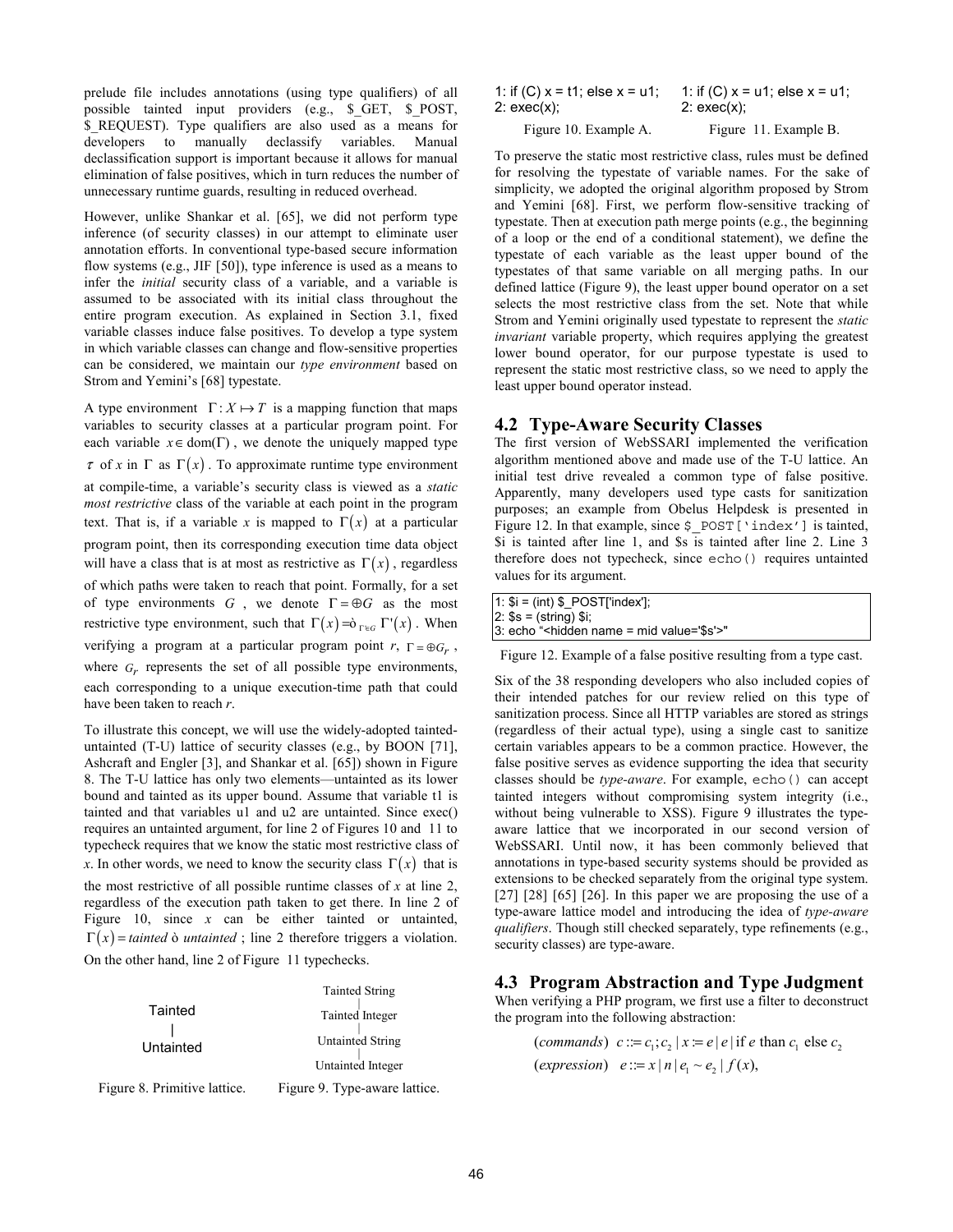prelude file includes annotations (using type qualifiers) of all possible tainted input providers (e.g., \$\_GET, \$\_POST, \$ REQUEST). Type qualifiers are also used as a means for developers to manually declassify variables. Manual declassification support is important because it allows for manual elimination of false positives, which in turn reduces the number of unnecessary runtime guards, resulting in reduced overhead.

However, unlike Shankar et al. [65], we did not perform type inference (of security classes) in our attempt to eliminate user annotation efforts. In conventional type-based secure information flow systems (e.g., JIF [50]), type inference is used as a means to infer the *initial* security class of a variable, and a variable is assumed to be associated with its initial class throughout the entire program execution. As explained in Section 3.1, fixed variable classes induce false positives. To develop a type system in which variable classes can change and flow-sensitive properties can be considered, we maintain our *type environment* based on Strom and Yemini's [68] typestate.

A type environment  $\Gamma: X \mapsto T$  is a mapping function that maps variables to security classes at a particular program point. For each variable  $x \in \text{dom}(\Gamma)$ , we denote the uniquely mapped type  $\tau$  of x in  $\Gamma$  as  $\Gamma(x)$ . To approximate runtime type environment at compile-time, a variable's security class is viewed as a *static most restrictive* class of the variable at each point in the program text. That is, if a variable x is mapped to  $\Gamma(x)$  at a particular program point, then its corresponding execution time data object will have a class that is at most as restrictive as  $\Gamma(x)$ , regardless of which paths were taken to reach that point. Formally, for a set of type environments *G*, we denote  $\Gamma = \bigoplus G$  as the most restrictive type environment, such that  $\Gamma(x) = \delta_{\Gamma \models G} \Gamma'(x)$ . When verifying a program at a particular program point  $r$ ,  $\Gamma = \bigoplus G_r$ , where  $G_r$  represents the set of all possible type environments, each corresponding to a unique execution-time path that could have been taken to reach *r*.

To illustrate this concept, we will use the widely-adopted tainteduntainted (T-U) lattice of security classes (e.g., by BOON [71], Ashcraft and Engler [3], and Shankar et al. [65]) shown in Figure 8. The T-U lattice has only two elements—untainted as its lower bound and tainted as its upper bound. Assume that variable t1 is tainted and that variables u1 and u2 are untainted. Since exec() requires an untainted argument, for line 2 of Figures 10 and 11 to typecheck requires that we know the static most restrictive class of *x*. In other words, we need to know the security class  $\Gamma(x)$  that is the most restrictive of all possible runtime classes of *x* at line 2, regardless of the execution path taken to get there. In line 2 of Figure 10, since  $x$  can be either tainted or untainted,  $\Gamma(x) = \text{tainted} \, \dot{\delta}$  *untainted*; line 2 therefore triggers a violation. On the other hand, line 2 of Figure 11 typechecks.

|                              | <b>Tainted String</b>         |
|------------------------------|-------------------------------|
| Tainted<br>Untainted         | Tainted Integer               |
|                              | Untainted String              |
|                              | <b>Untainted Integer</b>      |
| Figure 8. Primitive lattice. | Figure 9. Type-aware lattice. |

| 1: if (C) $x = t1$ ; else $x = u1$ ; | 1: if (C) $x = u1$ ; else $x = u1$ ; |
|--------------------------------------|--------------------------------------|
| 2: exec(x);                          | 2: exec(x);                          |

Figure 10. Example A. Figure 11. Example B.

To preserve the static most restrictive class, rules must be defined for resolving the typestate of variable names. For the sake of simplicity, we adopted the original algorithm proposed by Strom and Yemini [68]. First, we perform flow-sensitive tracking of typestate. Then at execution path merge points (e.g., the beginning of a loop or the end of a conditional statement), we define the typestate of each variable as the least upper bound of the typestates of that same variable on all merging paths. In our defined lattice (Figure 9), the least upper bound operator on a set selects the most restrictive class from the set. Note that while Strom and Yemini originally used typestate to represent the *static invariant* variable property, which requires applying the greatest lower bound operator, for our purpose typestate is used to represent the static most restrictive class, so we need to apply the least upper bound operator instead.

### **4.2 Type-Aware Security Classes**

The first version of WebSSARI implemented the verification algorithm mentioned above and made use of the T-U lattice. An initial test drive revealed a common type of false positive. Apparently, many developers used type casts for sanitization purposes; an example from Obelus Helpdesk is presented in Figure 12. In that example, since  $\frac{1}{2}$  POST ['index'] is tainted, \$i is tainted after line 1, and \$s is tainted after line 2. Line 3 therefore does not typecheck, since echo() requires untainted values for its argument.

 $1:$  \$i = (int) \$ POST['index']; 2:  $s = (string)$   $s$ i; 3: echo "<hidden name = mid value='\$s'>"

Figure 12. Example of a false positive resulting from a type cast.

Six of the 38 responding developers who also included copies of their intended patches for our review relied on this type of sanitization process. Since all HTTP variables are stored as strings (regardless of their actual type), using a single cast to sanitize certain variables appears to be a common practice. However, the false positive serves as evidence supporting the idea that security classes should be *type-aware*. For example, echo() can accept tainted integers without compromising system integrity (i.e., without being vulnerable to XSS). Figure 9 illustrates the typeaware lattice that we incorporated in our second version of WebSSARI. Until now, it has been commonly believed that annotations in type-based security systems should be provided as extensions to be checked separately from the original type system.  $[27]$   $[28]$   $[65]$   $[26]$ . In this paper we are proposing the use of a type-aware lattice model and introducing the idea of *type-aware qualifiers*. Though still checked separately, type refinements (e.g., security classes) are type-aware.

### **4.3 Program Abstraction and Type Judgment**

When verifying a PHP program, we first use a filter to deconstruct the program into the following abstraction:

> (*commands*)  $c := c_1$ ;  $c_2 | x = e | e |$  if e than  $c_1$  else  $c_2$  $\text{(expression)} \quad e := x \mid n \mid e_1 \sim e_2 \mid f(x),$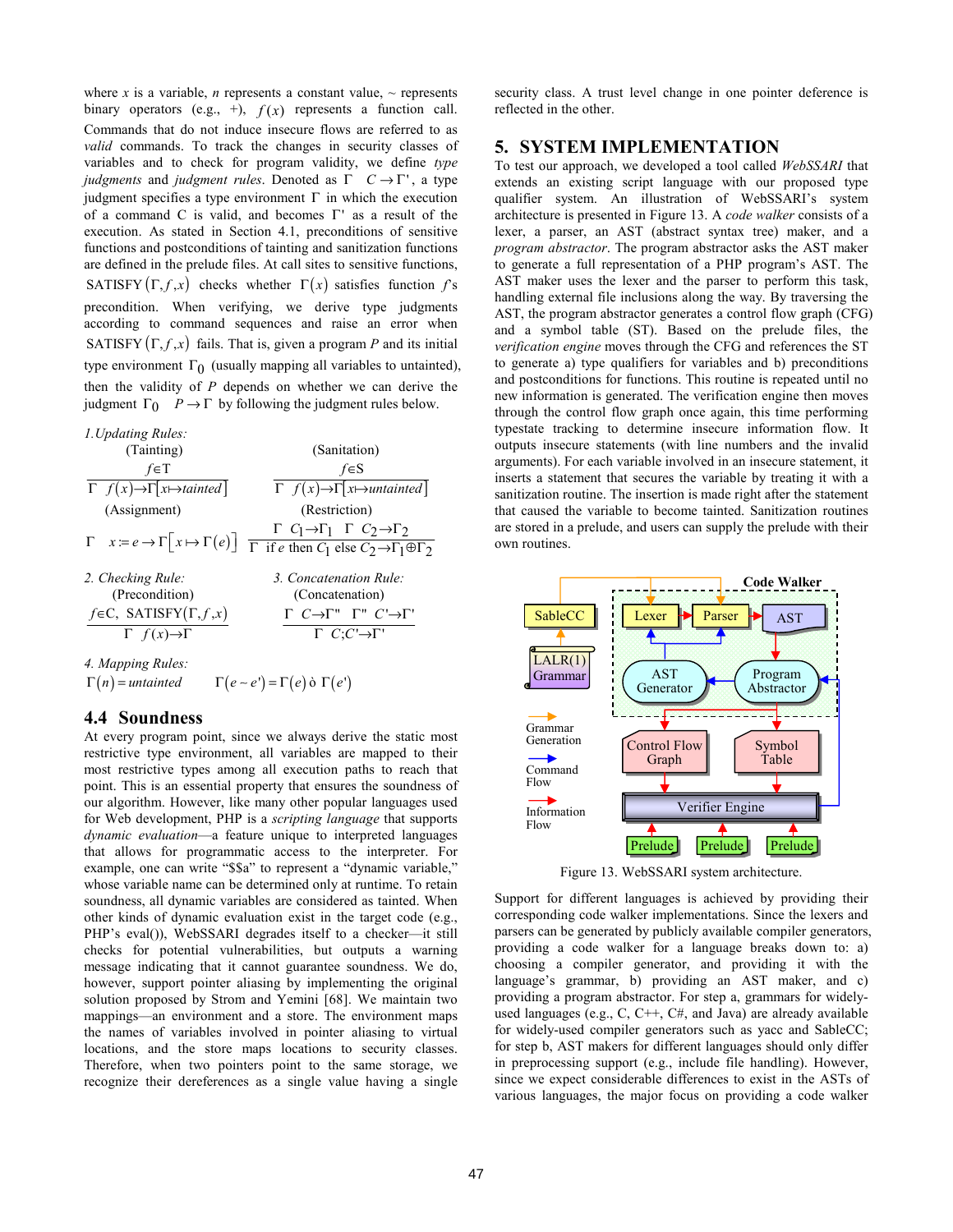where *x* is a variable, *n* represents a constant value,  $\sim$  represents binary operators (e.g.,  $+$ ),  $f(x)$  represents a function call. Commands that do not induce insecure flows are referred to as *valid* commands. To track the changes in security classes of variables and to check for program validity, we define *type judgments* and *judgment rules*. Denoted as  $\Gamma$   $C \rightarrow \Gamma'$ , a type judgment specifies a type environment Γ in which the execution of a command C is valid, and becomes Γ' as a result of the execution. As stated in Section 4.1, preconditions of sensitive functions and postconditions of tainting and sanitization functions are defined in the prelude files. At call sites to sensitive functions, SATISFY  $(\Gamma, f, x)$  checks whether  $\Gamma(x)$  satisfies function *f*'s precondition. When verifying, we derive type judgments according to command sequences and raise an error when SATISFY  $(\Gamma, f, x)$  fails. That is, given a program *P* and its initial type environment  $\Gamma_0$  (usually mapping all variables to untainted), then the validity of *P* depends on whether we can derive the judgment  $\Gamma_0$  *P*  $\rightarrow$   $\Gamma$  by following the judgment rules below.

| 1. Updating Rules:                                                        |                                                                                                                                                     |
|---------------------------------------------------------------------------|-----------------------------------------------------------------------------------------------------------------------------------------------------|
| (Tainting)                                                                | (Sanitation)                                                                                                                                        |
| $f \in T$                                                                 | $f \in S$                                                                                                                                           |
| $\Gamma$ $f(x) \rightarrow \Gamma[x \mapsto tainted]$                     | $\Gamma$ $f(x) \rightarrow \Gamma[x \mapsto$ untainted                                                                                              |
| (Assignment)                                                              | (Restriction)                                                                                                                                       |
| $\Gamma \quad x = e \rightarrow \Gamma \lceil x \mapsto \Gamma(e) \rceil$ | $\Gamma$ $C_1 \rightarrow \Gamma_1$ $\Gamma$ $C_2 \rightarrow \Gamma_2$<br>$\Gamma$ if e then $C_1$ else $C_2 \rightarrow \Gamma_1 \oplus \Gamma_2$ |
| 2. Checking Rule:                                                         | 3. Concatenation Rule:                                                                                                                              |
| (Precondition)                                                            | (Concatenation)                                                                                                                                     |
| $f \in C$ , SATISFY $(\Gamma, f, x)$                                      | $\Gamma C \rightarrow \Gamma'' \Gamma'' C' \rightarrow \Gamma'$                                                                                     |
| $\Gamma$ $f(x) \rightarrow \Gamma$                                        | $\Gamma$ $C: C \rightarrow \Gamma'$                                                                                                                 |
| 4. Mapping Rules:                                                         |                                                                                                                                                     |
| $\Gamma(n)$ = untainted                                                   | $\Gamma(e-e') = \Gamma(e)$ ò $\Gamma(e')$                                                                                                           |

#### **4.4 Soundness**

At every program point, since we always derive the static most restrictive type environment, all variables are mapped to their most restrictive types among all execution paths to reach that point. This is an essential property that ensures the soundness of our algorithm. However, like many other popular languages used for Web development, PHP is a *scripting language* that supports *dynamic evaluation*—a feature unique to interpreted languages that allows for programmatic access to the interpreter. For example, one can write "\$\$a" to represent a "dynamic variable," whose variable name can be determined only at runtime. To retain soundness, all dynamic variables are considered as tainted. When other kinds of dynamic evaluation exist in the target code (e.g., PHP's eval()), WebSSARI degrades itself to a checker----it still checks for potential vulnerabilities, but outputs a warning message indicating that it cannot guarantee soundness. We do, however, support pointer aliasing by implementing the original solution proposed by Strom and Yemini [68]. We maintain two mappings—an environment and a store. The environment maps the names of variables involved in pointer aliasing to virtual locations, and the store maps locations to security classes. Therefore, when two pointers point to the same storage, we recognize their dereferences as a single value having a single

security class. A trust level change in one pointer deference is reflected in the other.

### **5. SYSTEM IMPLEMENTATION**

To test our approach, we developed a tool called *WebSSARI* that extends an existing script language with our proposed type qualifier system. An illustration of WebSSARI's system architecture is presented in Figure 13. A *code walker* consists of a lexer, a parser, an AST (abstract syntax tree) maker, and a *program abstractor*. The program abstractor asks the AST maker to generate a full representation of a PHP program's AST. The AST maker uses the lexer and the parser to perform this task, handling external file inclusions along the way. By traversing the AST, the program abstractor generates a control flow graph (CFG) and a symbol table (ST). Based on the prelude files, the *verification engine* moves through the CFG and references the ST to generate a) type qualifiers for variables and b) preconditions and postconditions for functions. This routine is repeated until no new information is generated. The verification engine then moves through the control flow graph once again, this time performing typestate tracking to determine insecure information flow. It outputs insecure statements (with line numbers and the invalid arguments). For each variable involved in an insecure statement, it inserts a statement that secures the variable by treating it with a sanitization routine. The insertion is made right after the statement that caused the variable to become tainted. Sanitization routines are stored in a prelude, and users can supply the prelude with their own routines.



Figure 13. WebSSARI system architecture.

Support for different languages is achieved by providing their corresponding code walker implementations. Since the lexers and parsers can be generated by publicly available compiler generators, providing a code walker for a language breaks down to: a) choosing a compiler generator, and providing it with the language's grammar, b) providing an AST maker, and c) providing a program abstractor. For step a, grammars for widelyused languages (e.g., C, C++, C#, and Java) are already available for widely-used compiler generators such as yacc and SableCC; for step b, AST makers for different languages should only differ in preprocessing support (e.g., include file handling). However, since we expect considerable differences to exist in the ASTs of various languages, the major focus on providing a code walker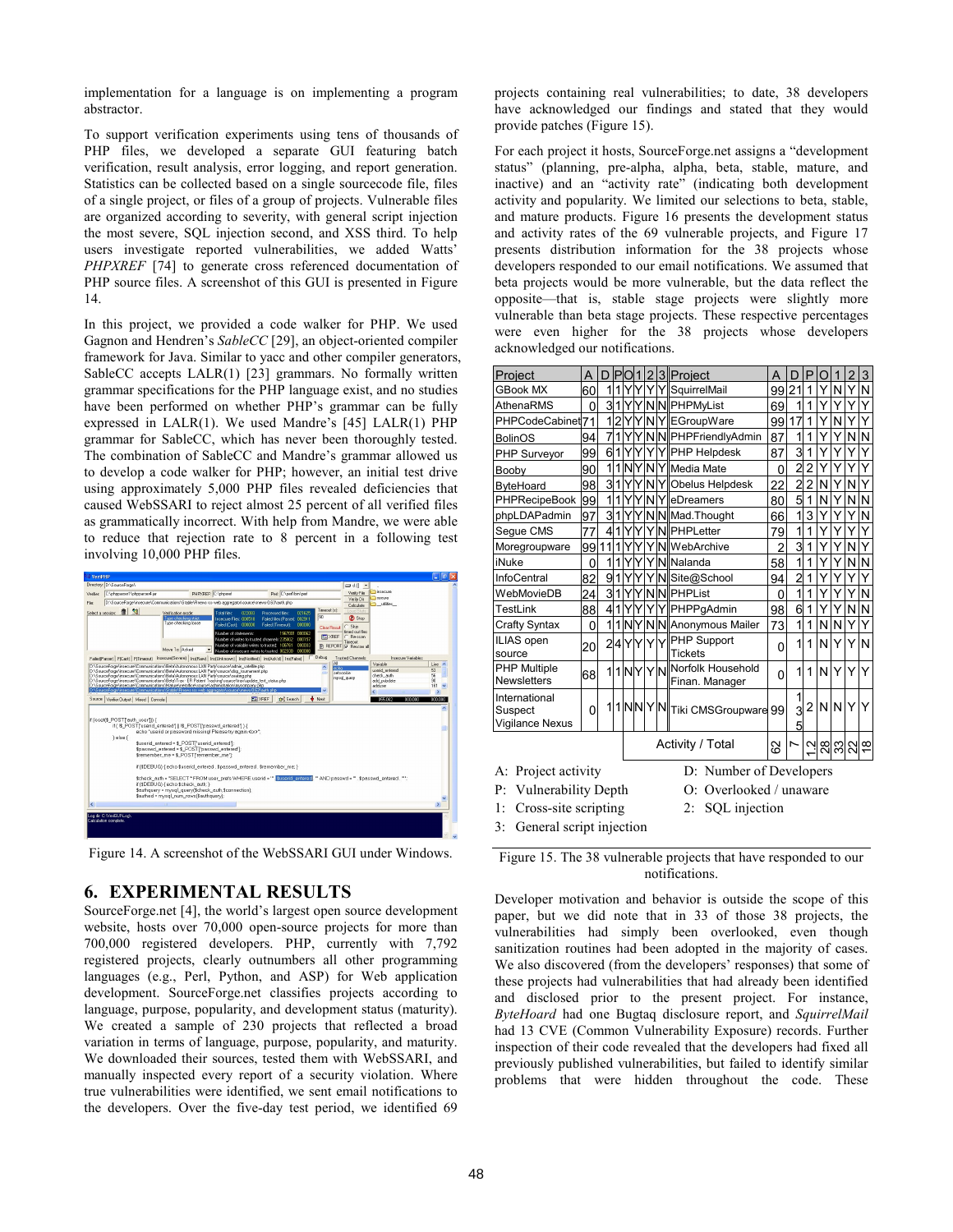implementation for a language is on implementing a program abstractor.

To support verification experiments using tens of thousands of PHP files, we developed a separate GUI featuring batch verification, result analysis, error logging, and report generation. Statistics can be collected based on a single sourcecode file, files of a single project, or files of a group of projects. Vulnerable files are organized according to severity, with general script injection the most severe, SQL injection second, and XSS third. To help users investigate reported vulnerabilities, we added Watts' *PHPXREF* [74] to generate cross referenced documentation of PHP source files. A screenshot of this GUI is presented in Figure 14.

In this project, we provided a code walker for PHP. We used Gagnon and Hendren's *SableCC* [29], an object-oriented compiler framework for Java. Similar to yacc and other compiler generators, SableCC accepts LALR(1) [23] grammars. No formally written grammar specifications for the PHP language exist, and no studies have been performed on whether PHP's grammar can be fully expressed in LALR(1). We used Mandre's [45] LALR(1) PHP grammar for SableCC, which has never been thoroughly tested. The combination of SableCC and Mandre's grammar allowed us to develop a code walker for PHP; however, an initial test drive using approximately 5,000 PHP files revealed deficiencies that caused WebSSARI to reject almost 25 percent of all verified files as grammatically incorrect. With help from Mandre, we were able to reduce that rejection rate to 8 percent in a following test involving 10,000 PHP files.



Figure 14. A screenshot of the WebSSARI GUI under Windows.

### **6. EXPERIMENTAL RESULTS**

SourceForge.net [4], the world's largest open source development website, hosts over 70,000 open-source projects for more than 700,000 registered developers. PHP, currently with 7,792 registered projects, clearly outnumbers all other programming languages (e.g., Perl, Python, and ASP) for Web application development. SourceForge.net classifies projects according to language, purpose, popularity, and development status (maturity). We created a sample of 230 projects that reflected a broad variation in terms of language, purpose, popularity, and maturity. We downloaded their sources, tested them with WebSSARI, and manually inspected every report of a security violation. Where true vulnerabilities were identified, we sent email notifications to the developers. Over the five-day test period, we identified 69

projects containing real vulnerabilities; to date, 38 developers have acknowledged our findings and stated that they would provide patches (Figure 15).

For each project it hosts, SourceForge.net assigns a "development status" (planning, pre-alpha, alpha, beta, stable, mature, and inactive) and an "activity rate" (indicating both development activity and popularity. We limited our selections to beta, stable, and mature products. Figure 16 presents the development status and activity rates of the 69 vulnerable projects, and Figure 17 presents distribution information for the 38 projects whose developers responded to our email notifications. We assumed that beta projects would be more vulnerable, but the data reflect the opposite—that is, stable stage projects were slightly more vulnerable than beta stage projects. These respective percentages were even higher for the 38 projects whose developers acknowledged our notifications.

| Project                                                          | A        | D              |                |                 |   | 2 | 3 | Project                               | A              | D              | P                        |    |                | $\mathcal{P}$ | 3             |
|------------------------------------------------------------------|----------|----------------|----------------|-----------------|---|---|---|---------------------------------------|----------------|----------------|--------------------------|----|----------------|---------------|---------------|
| <b>GBook MX</b>                                                  | 60       | 1              | 1              |                 |   | Y |   | SquirrelMail                          | 99             | 21             | 1                        | Y  | N              | Y             | N             |
| AthenaRMS                                                        | $\Omega$ | 3              | $\mathbf{1}$   |                 |   | N |   | <b>N</b> PHPMyList                    | 69             | 1              | 1                        | Υ  | Υ              | Y             | Y             |
| PHPCodeCabinet71                                                 |          | 1              | $\overline{c}$ | Y               | Y | N |   | YEGroupWare                           | 99             | 17             | 1                        | Y  | N              | Y             | Ý             |
| <b>BolinOS</b>                                                   | 94       | $\overline{7}$ | 1              | Y               |   |   |   | N N PHPFriendlyAdmin                  | 87             | 1              | 1                        | Y  | Y              | N             | N             |
| <b>PHP Survevor</b>                                              | 99       | 6              | 1              | Y               |   | Y | Y | <b>PHP Helpdesk</b>                   | 87             | 3              | 1                        | Y  |                | Y             | Ý             |
| Booby                                                            | 90       | 1              |                | 1 <sub>N</sub>  |   | N |   | Media Mate                            | 0              | $\overline{2}$ | $\overline{c}$           | Y  |                | Y             | Y             |
| <b>ByteHoard</b>                                                 | 98       | ვ              | 1              |                 |   | N |   | Obelus Helpdesk                       | 22             | $\overline{2}$ | $\overline{2}$           | N  |                | N             | Ý             |
| <b>PHPRecipeBook</b>                                             | 99       | 1              | 1              |                 |   | N |   | YleDreamers                           | 80             | 5              | 1                        | N  | Y              | N             | N             |
| phpLDAPadmin                                                     | 97       | $\overline{3}$ | 1              | Y               |   | N |   | N Mad. Thought                        | 66             | 1              | 3                        | Y  | Y              | Y             | N             |
| Segue CMS                                                        | 77       | 4              | 1              | Y               |   | Y |   | <b>N</b> PHPLetter                    | 79             | 1              | 1                        | Y  |                | Y             | Y             |
| Moregroupware                                                    | 99       | 11             | 1              | Y               | Y | Y |   | N WebArchive                          | $\overline{2}$ | 3              | 1                        | Ý  |                | N             | Ý             |
| iNuke                                                            | $\Omega$ | 1              | 1              | Y               |   | Y |   | N Nalanda                             | 58             | $\overline{1}$ | 1                        | Y  | Y              | N             | N             |
| InfoCentral                                                      | 82       | 9              | 1              | Y               | Y | Y |   | N Site@School                         | 94             | $\overline{2}$ | $\overline{1}$           | Ý  | Υ              | Ý             | Ý             |
| WebMovieDB                                                       | 24       | 3              | 1              | Y               |   | N |   | <b>N</b> PHPList                      | 0              | 1              | 1                        | Y  | Y              | Y             | N             |
| TestLink                                                         | 88       | 4              | 1              | Y               | Y | Y | Y | PHPPqAdmin                            | 98             | 6              | 1                        | Ý  | Y              | N             | N             |
| <b>Crafty Syntax</b>                                             | 0        | 1              |                | 1 <sub>NY</sub> |   |   |   | N N Anonymous Mailer                  | 73             | 1              | 1                        | N  | N              | Y             | Y             |
| <b>ILIAS</b> open<br>source                                      | 20       | $\overline{c}$ | $\overline{4}$ | Y               | Y | Y |   | <b>PHP Support</b><br><b>Tickets</b>  | 0              | 1              | 1                        | N  | Y              | Y             | N             |
| <b>PHP Multiple</b><br><b>Newsletters</b>                        | 68       | $\mathbf{1}$   |                | 1NY             |   | Υ |   | N Norfolk Household<br>Finan. Manager | 0              | 1              | 1                        | N  | Y              | Υ             | Y             |
| International<br>Suspect<br><b>Vigilance Nexus</b>               | 0        | 1              |                |                 |   |   |   | 1NNYNTiki CMSGroupware 99             |                | 1<br>3<br>5    | $\overline{2}$           |    | N <sub>N</sub> | Y             | Υ             |
|                                                                  |          |                |                |                 |   |   |   | Activity / Total                      | 8              |                | $\scriptstyle\mathtt{N}$ | 88 | 33             | $\approx$     | $\frac{8}{1}$ |
| D: Number of Developers<br>A: Project activity                   |          |                |                |                 |   |   |   |                                       |                |                |                          |    |                |               |               |
| <b>Vulnerability Depth</b><br>Overlooked / unaware<br>P:<br>( )∙ |          |                |                |                 |   |   |   |                                       |                |                |                          |    |                |               |               |
| Cross-site scripting<br>1:<br>SQL injection<br>2.                |          |                |                |                 |   |   |   |                                       |                |                |                          |    |                |               |               |
| 3:<br>General script injection                                   |          |                |                |                 |   |   |   |                                       |                |                |                          |    |                |               |               |

Figure 15. The 38 vulnerable projects that have responded to our notifications.

Developer motivation and behavior is outside the scope of this paper, but we did note that in 33 of those 38 projects, the vulnerabilities had simply been overlooked, even though sanitization routines had been adopted in the majority of cases. We also discovered (from the developers' responses) that some of these projects had vulnerabilities that had already been identified and disclosed prior to the present project. For instance, *ByteHoard* had one Bugtaq disclosure report, and *SquirrelMail* had 13 CVE (Common Vulnerability Exposure) records. Further inspection of their code revealed that the developers had fixed all previously published vulnerabilities, but failed to identify similar problems that were hidden throughout the code. These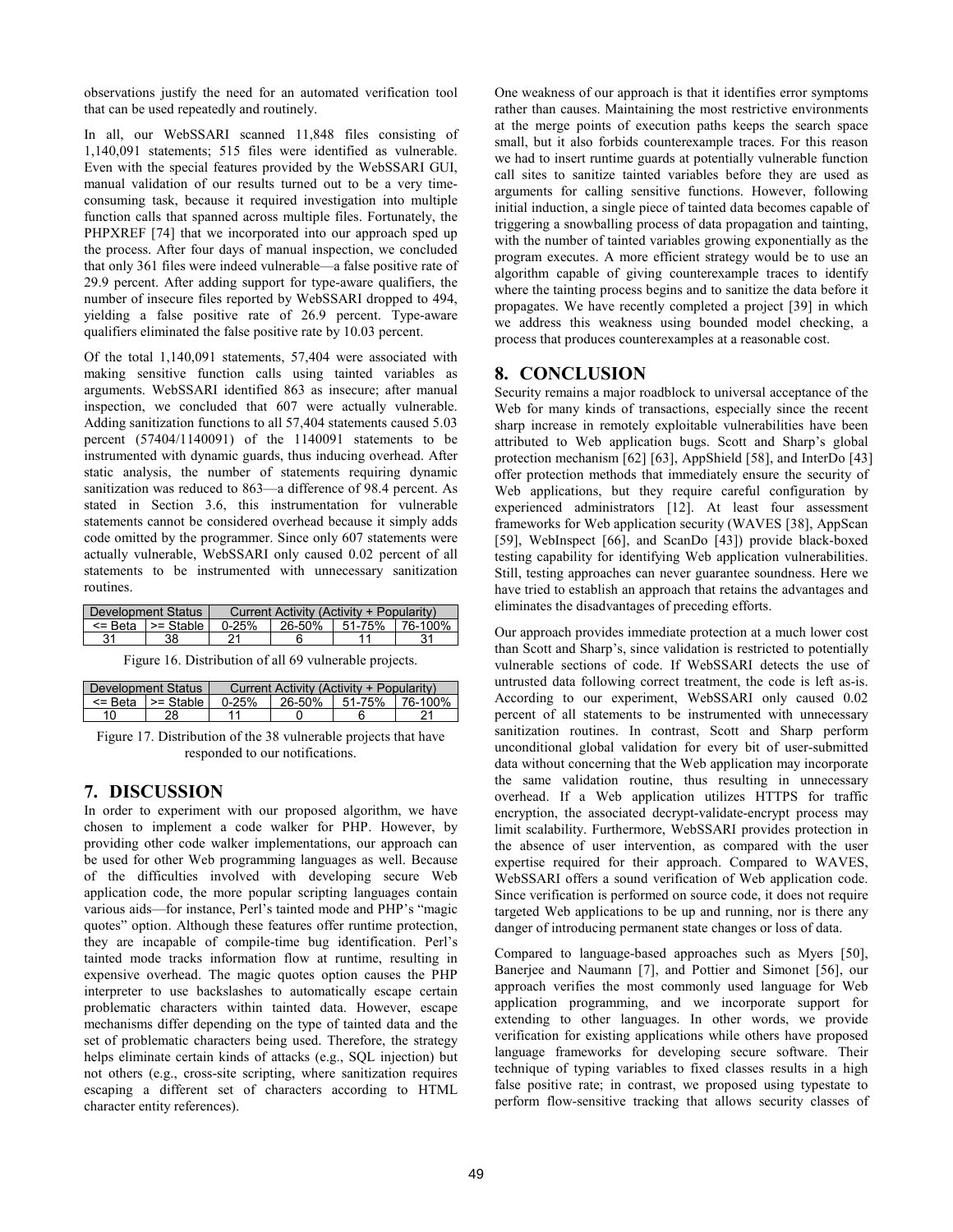observations justify the need for an automated verification tool that can be used repeatedly and routinely.

In all, our WebSSARI scanned 11,848 files consisting of 1,140,091 statements; 515 files were identified as vulnerable. Even with the special features provided by the WebSSARI GUI, manual validation of our results turned out to be a very timeconsuming task, because it required investigation into multiple function calls that spanned across multiple files. Fortunately, the PHPXREF [74] that we incorporated into our approach sped up the process. After four days of manual inspection, we concluded that only 361 files were indeed vulnerable—a false positive rate of 29.9 percent. After adding support for type-aware qualifiers, the number of insecure files reported by WebSSARI dropped to 494, yielding a false positive rate of 26.9 percent. Type-aware qualifiers eliminated the false positive rate by 10.03 percent.

Of the total 1,140,091 statements, 57,404 were associated with making sensitive function calls using tainted variables as arguments. WebSSARI identified 863 as insecure; after manual inspection, we concluded that 607 were actually vulnerable. Adding sanitization functions to all 57,404 statements caused 5.03 percent (57404/1140091) of the 1140091 statements to be instrumented with dynamic guards, thus inducing overhead. After static analysis, the number of statements requiring dynamic sanitization was reduced to 863—a difference of 98.4 percent. As stated in Section 3.6, this instrumentation for vulnerable statements cannot be considered overhead because it simply adds code omitted by the programmer. Since only 607 statements were actually vulnerable, WebSSARI only caused 0.02 percent of all statements to be instrumented with unnecessary sanitization routines.

|         | Development Status   |           | Current Activity (Activity + Popularity) |            |         |
|---------|----------------------|-----------|------------------------------------------|------------|---------|
| <= Reta | $\Rightarrow$ Stable | $0 - 25%$ | $26 - 50%$                               | $51 - 75%$ | 76-100% |
|         |                      |           |                                          |            |         |

Figure 16. Distribution of all 69 vulnerable projects.

| Development Status |             | Current Activity (Activity + Popularity) |        |            |         |
|--------------------|-------------|------------------------------------------|--------|------------|---------|
| <= Beta            | l >= Stable | $0 - 25%$                                | 26-50% | $51 - 75%$ | 76-100% |
|                    | 28          |                                          |        |            |         |

Figure 17. Distribution of the 38 vulnerable projects that have responded to our notifications.

### **7. DISCUSSION**

In order to experiment with our proposed algorithm, we have chosen to implement a code walker for PHP. However, by providing other code walker implementations, our approach can be used for other Web programming languages as well. Because of the difficulties involved with developing secure Web application code, the more popular scripting languages contain various aids—for instance, Perl's tainted mode and PHP's "magic quotes" option. Although these features offer runtime protection, they are incapable of compile-time bug identification. Perl's tainted mode tracks information flow at runtime, resulting in expensive overhead. The magic quotes option causes the PHP interpreter to use backslashes to automatically escape certain problematic characters within tainted data. However, escape mechanisms differ depending on the type of tainted data and the set of problematic characters being used. Therefore, the strategy helps eliminate certain kinds of attacks (e.g., SQL injection) but not others (e.g., cross-site scripting, where sanitization requires escaping a different set of characters according to HTML character entity references).

One weakness of our approach is that it identifies error symptoms rather than causes. Maintaining the most restrictive environments at the merge points of execution paths keeps the search space small, but it also forbids counterexample traces. For this reason we had to insert runtime guards at potentially vulnerable function call sites to sanitize tainted variables before they are used as arguments for calling sensitive functions. However, following initial induction, a single piece of tainted data becomes capable of triggering a snowballing process of data propagation and tainting, with the number of tainted variables growing exponentially as the program executes. A more efficient strategy would be to use an algorithm capable of giving counterexample traces to identify where the tainting process begins and to sanitize the data before it propagates. We have recently completed a project [39] in which we address this weakness using bounded model checking, a process that produces counterexamples at a reasonable cost.

### **8. CONCLUSION**

Security remains a major roadblock to universal acceptance of the Web for many kinds of transactions, especially since the recent sharp increase in remotely exploitable vulnerabilities have been attributed to Web application bugs. Scott and Sharp's global protection mechanism [62] [63], AppShield [58], and InterDo [43] offer protection methods that immediately ensure the security of Web applications, but they require careful configuration by experienced administrators [12]. At least four assessment frameworks for Web application security (WAVES [38], AppScan [59], WebInspect [66], and ScanDo [43]) provide black-boxed testing capability for identifying Web application vulnerabilities. Still, testing approaches can never guarantee soundness. Here we have tried to establish an approach that retains the advantages and eliminates the disadvantages of preceding efforts.

Our approach provides immediate protection at a much lower cost than Scott and Sharp's, since validation is restricted to potentially vulnerable sections of code. If WebSSARI detects the use of untrusted data following correct treatment, the code is left as-is. According to our experiment, WebSSARI only caused 0.02 percent of all statements to be instrumented with unnecessary sanitization routines. In contrast, Scott and Sharp perform unconditional global validation for every bit of user-submitted data without concerning that the Web application may incorporate the same validation routine, thus resulting in unnecessary overhead. If a Web application utilizes HTTPS for traffic encryption, the associated decrypt-validate-encrypt process may limit scalability. Furthermore, WebSSARI provides protection in the absence of user intervention, as compared with the user expertise required for their approach. Compared to WAVES, WebSSARI offers a sound verification of Web application code. Since verification is performed on source code, it does not require targeted Web applications to be up and running, nor is there any danger of introducing permanent state changes or loss of data.

Compared to language-based approaches such as Myers [50], Banerjee and Naumann [7], and Pottier and Simonet [56], our approach verifies the most commonly used language for Web application programming, and we incorporate support for extending to other languages. In other words, we provide verification for existing applications while others have proposed language frameworks for developing secure software. Their technique of typing variables to fixed classes results in a high false positive rate; in contrast, we proposed using typestate to perform flow-sensitive tracking that allows security classes of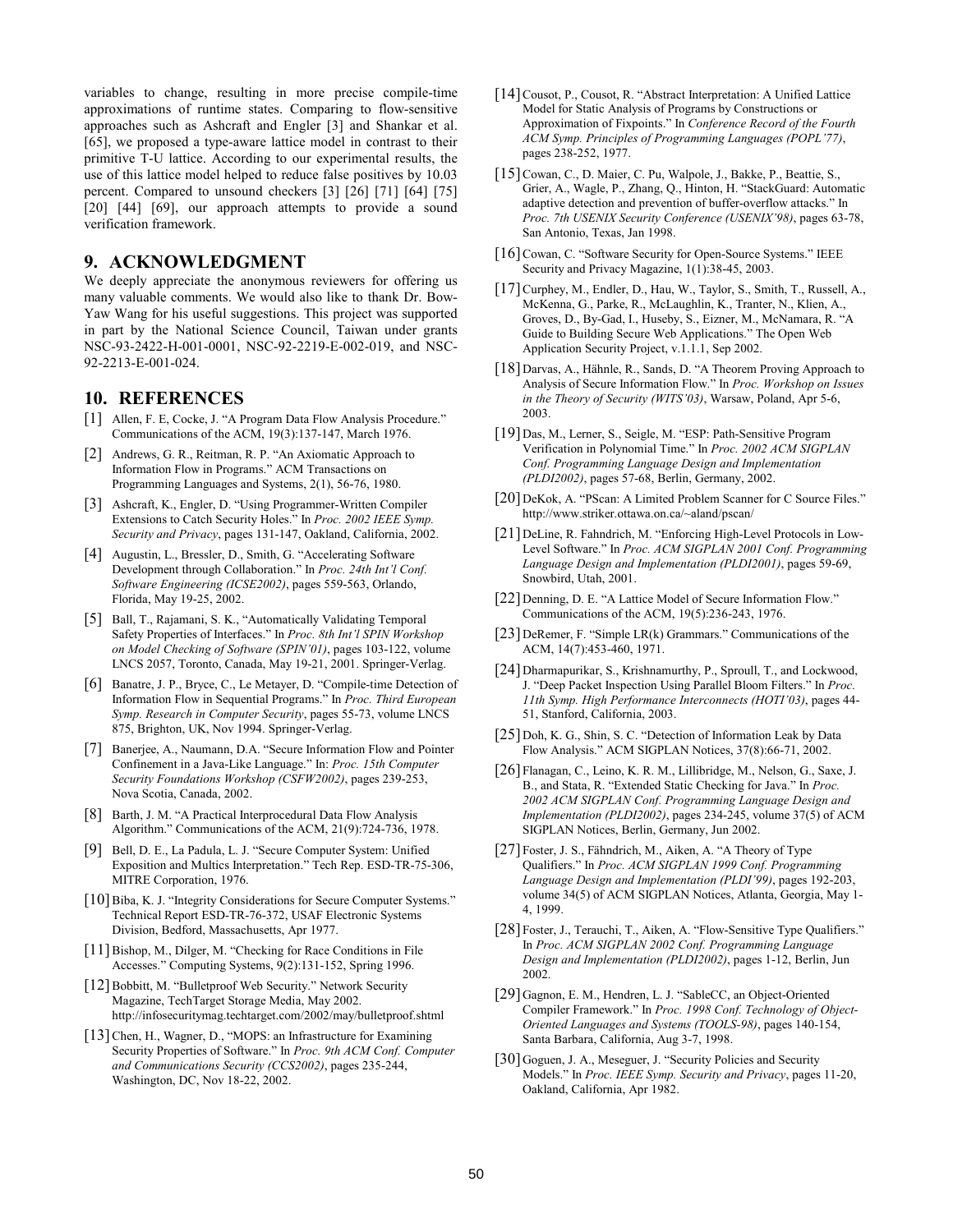variables to change, resulting in more precise compile-time approximations of runtime states. Comparing to flow-sensitive approaches such as Ashcraft and Engler [3] and Shankar et al. [65], we proposed a type-aware lattice model in contrast to their primitive T-U lattice. According to our experimental results, the use of this lattice model helped to reduce false positives by 10.03 percent. Compared to unsound checkers [3] [26] [71] [64] [75] [20] [44] [69], our approach attempts to provide a sound verification framework.

#### **9. ACKNOWLEDGMENT**

We deeply appreciate the anonymous reviewers for offering us many valuable comments. We would also like to thank Dr. Bow-Yaw Wang for his useful suggestions. This project was supported in part by the National Science Council, Taiwan under grants NSC-93-2422-H-001-0001, NSC-92-2219-E-002-019, and NSC-92-2213-E-001-024.

#### **10. REFERENCES**

- [1] Allen, F. E, Cocke, J. "A Program Data Flow Analysis Procedure." Communications of the ACM, 19(3):137-147, March 1976.
- [2] Andrews, G. R., Reitman, R. P. "An Axiomatic Approach to Information Flow in Programs." ACM Transactions on Programming Languages and Systems, 2(1), 56-76, 1980.
- [3] Ashcraft, K., Engler, D. "Using Programmer-Written Compiler Extensions to Catch Security Holes." In *Proc. 2002 IEEE Symp. Security and Privacy*, pages 131-147, Oakland, California, 2002.
- [4] Augustin, L., Bressler, D., Smith, G. "Accelerating Software Development through Collaboration." In *Proc. 24th Int'l Conf. Software Engineering (ICSE2002)*, pages 559-563, Orlando, Florida, May 19-25, 2002.
- [5] Ball, T., Rajamani, S. K., "Automatically Validating Temporal Safety Properties of Interfaces." In *Proc. 8th Int'l SPIN Workshop on Model Checking of Software (SPIN'01)*, pages 103-122, volume LNCS 2057, Toronto, Canada, May 19-21, 2001. Springer-Verlag.
- [6] Banatre, J. P., Bryce, C., Le Metayer, D. "Compile-time Detection of Information Flow in Sequential Programs." In *Proc. Third European Symp. Research in Computer Security*, pages 55-73, volume LNCS 875, Brighton, UK, Nov 1994. Springer-Verlag.
- [7] Banerjee, A., Naumann, D.A. "Secure Information Flow and Pointer Confinement in a Java-Like Language." In: *Proc. 15th Computer Security Foundations Workshop (CSFW2002)*, pages 239-253, Nova Scotia, Canada, 2002.
- [8] Barth, J. M. "A Practical Interprocedural Data Flow Analysis Algorithm." Communications of the ACM, 21(9):724-736, 1978.
- [9] Bell, D. E., La Padula, L. J. "Secure Computer System: Unified Exposition and Multics Interpretation." Tech Rep. ESD-TR-75-306, MITRE Corporation, 1976.
- [10] Biba, K. J. "Integrity Considerations for Secure Computer Systems." Technical Report ESD-TR-76-372, USAF Electronic Systems Division, Bedford, Massachusetts, Apr 1977.
- [11] Bishop, M., Dilger, M. "Checking for Race Conditions in File Accesses." Computing Systems, 9(2):131-152, Spring 1996.
- [12] Bobbitt, M. "Bulletproof Web Security." Network Security Magazine, TechTarget Storage Media, May 2002. http://infosecuritymag.techtarget.com/2002/may/bulletproof.shtml
- [13] Chen, H., Wagner, D., "MOPS: an Infrastructure for Examining Security Properties of Software." In *Proc. 9th ACM Conf. Computer and Communications Security (CCS2002)*, pages 235-244, Washington, DC, Nov 18-22, 2002.
- [14]Cousot, P., Cousot, R. "Abstract Interpretation: A Unified Lattice Model for Static Analysis of Programs by Constructions or Approximation of Fixpoints." In *Conference Record of the Fourth ACM Symp. Principles of Programming Languages (POPL'77)*, pages 238-252, 1977.
- [15] Cowan, C., D. Maier, C. Pu, Walpole, J., Bakke, P., Beattie, S., Grier, A., Wagle, P., Zhang, Q., Hinton, H. "StackGuard: Automatic adaptive detection and prevention of buffer-overflow attacks." In *Proc. 7th USENIX Security Conference (USENIX'98)*, pages 63-78, San Antonio, Texas, Jan 1998.
- [16] Cowan, C. "Software Security for Open-Source Systems." IEEE Security and Privacy Magazine, 1(1):38-45, 2003.
- [17] Curphey, M., Endler, D., Hau, W., Taylor, S., Smith, T., Russell, A., McKenna, G., Parke, R., McLaughlin, K., Tranter, N., Klien, A., Groves, D., By-Gad, I., Huseby, S., Eizner, M., McNamara, R. "A Guide to Building Secure Web Applications." The Open Web Application Security Project, v.1.1.1, Sep 2002.
- [18] Darvas, A., Hähnle, R., Sands, D. "A Theorem Proving Approach to Analysis of Secure Information Flow." In *Proc. Workshop on Issues in the Theory of Security (WITS'03)*, Warsaw, Poland, Apr 5-6, 2003.
- [19] Das, M., Lerner, S., Seigle, M. "ESP: Path-Sensitive Program Verification in Polynomial Time." In *Proc. 2002 ACM SIGPLAN Conf. Programming Language Design and Implementation (PLDI2002)*, pages 57-68, Berlin, Germany, 2002.
- [20] DeKok, A. "PScan: A Limited Problem Scanner for C Source Files." http://www.striker.ottawa.on.ca/~aland/pscan/
- [21] DeLine, R. Fahndrich, M. "Enforcing High-Level Protocols in Low-Level Software." In *Proc. ACM SIGPLAN 2001 Conf. Programming Language Design and Implementation (PLDI2001)*, pages 59-69, Snowbird, Utah, 2001.
- [22] Denning, D. E. "A Lattice Model of Secure Information Flow." Communications of the ACM, 19(5):236-243, 1976.
- [23] DeRemer, F. "Simple LR(k) Grammars." Communications of the ACM, 14(7):453-460, 1971.
- [24] Dharmapurikar, S., Krishnamurthy, P., Sproull, T., and Lockwood, J. "Deep Packet Inspection Using Parallel Bloom Filters." In *Proc. 11th Symp. High Performance Interconnects (HOTI'03)*, pages 44- 51, Stanford, California, 2003.
- [25] Doh, K. G., Shin, S. C. "Detection of Information Leak by Data Flow Analysis." ACM SIGPLAN Notices, 37(8):66-71, 2002.
- [26] Flanagan, C., Leino, K. R. M., Lillibridge, M., Nelson, G., Saxe, J. B., and Stata, R. "Extended Static Checking for Java." In *Proc. 2002 ACM SIGPLAN Conf. Programming Language Design and Implementation (PLDI2002)*, pages 234-245, volume 37(5) of ACM SIGPLAN Notices, Berlin, Germany, Jun 2002.
- [27] Foster, J. S., Fähndrich, M., Aiken, A. "A Theory of Type Qualifiers." In *Proc. ACM SIGPLAN 1999 Conf. Programming Language Design and Implementation (PLDI'99)*, pages 192-203, volume 34(5) of ACM SIGPLAN Notices, Atlanta, Georgia, May 1- 4, 1999.
- [28] Foster, J., Terauchi, T., Aiken, A. "Flow-Sensitive Type Qualifiers." In *Proc. ACM SIGPLAN 2002 Conf. Programming Language Design and Implementation (PLDI2002)*, pages 1-12, Berlin, Jun 2002.
- [29] Gagnon, E. M., Hendren, L. J. "SableCC, an Object-Oriented Compiler Framework." In *Proc. 1998 Conf. Technology of Object-Oriented Languages and Systems (TOOLS-98)*, pages 140-154, Santa Barbara, California, Aug 3-7, 1998.
- [30] Goguen, J. A., Meseguer, J. "Security Policies and Security Models." In *Proc. IEEE Symp. Security and Privacy*, pages 11-20, Oakland, California, Apr 1982.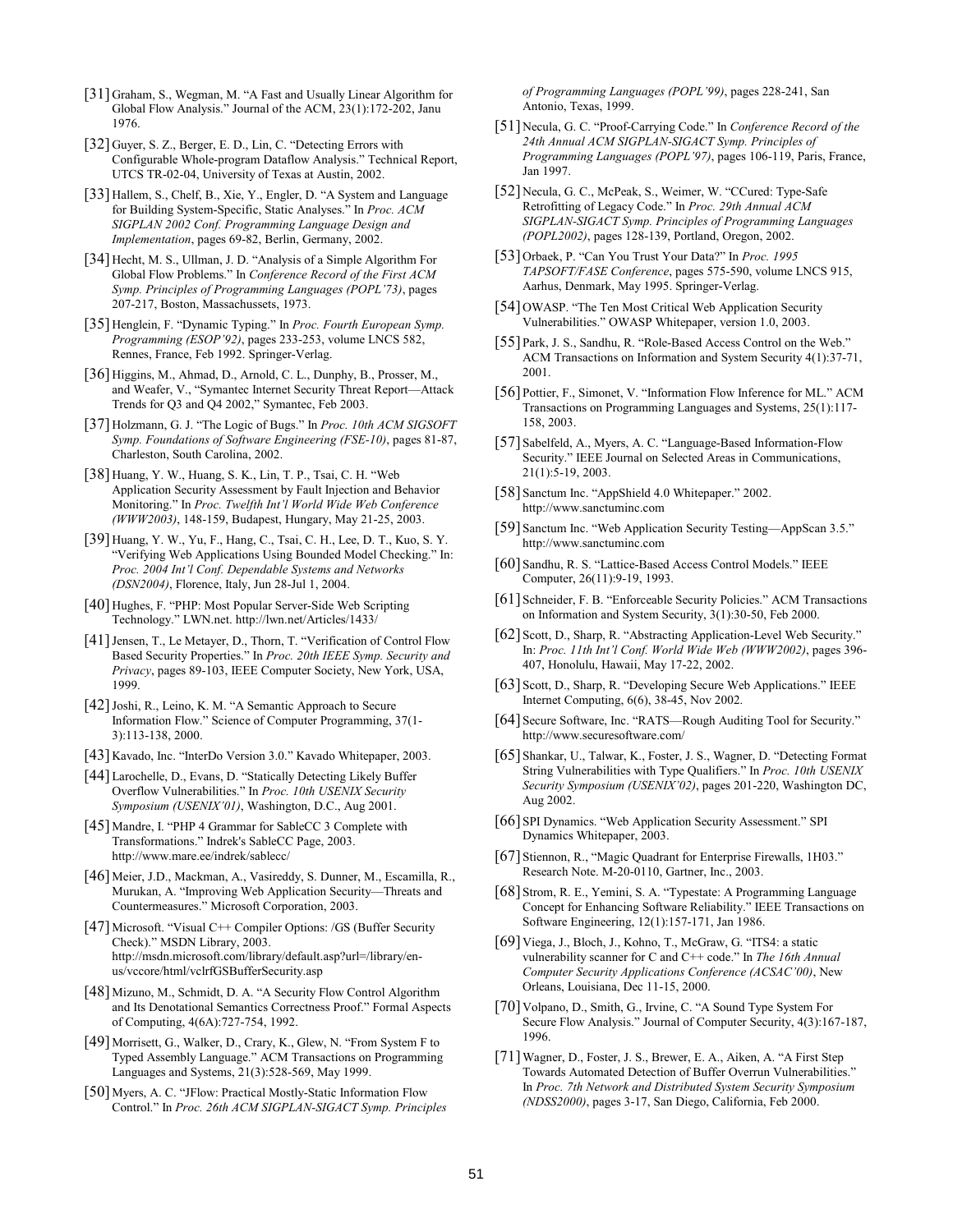- [31] Graham, S., Wegman, M. "A Fast and Usually Linear Algorithm for Global Flow Analysis." Journal of the ACM, 23(1):172-202, Janu 1976.
- [32] Guyer, S. Z., Berger, E. D., Lin, C. "Detecting Errors with Configurable Whole-program Dataflow Analysis." Technical Report, UTCS TR-02-04, University of Texas at Austin, 2002.
- [33] Hallem, S., Chelf, B., Xie, Y., Engler, D. "A System and Language for Building System-Specific, Static Analyses." In *Proc. ACM SIGPLAN 2002 Conf. Programming Language Design and Implementation*, pages 69-82, Berlin, Germany, 2002.
- [34] Hecht, M. S., Ullman, J. D. "Analysis of a Simple Algorithm For Global Flow Problems." In *Conference Record of the First ACM Symp. Principles of Programming Languages (POPL'73)*, pages 207-217, Boston, Massachussets, 1973.
- [35] Henglein, F. "Dynamic Typing." In *Proc. Fourth European Symp. Programming (ESOP'92)*, pages 233-253, volume LNCS 582, Rennes, France, Feb 1992. Springer-Verlag.
- [36] Higgins, M., Ahmad, D., Arnold, C. L., Dunphy, B., Prosser, M., and Weafer, V., "Symantec Internet Security Threat Report—Attack Trends for Q3 and Q4 2002," Symantec, Feb 2003.
- [37] Holzmann, G. J. "The Logic of Bugs." In *Proc. 10th ACM SIGSOFT Symp. Foundations of Software Engineering (FSE-10)*, pages 81-87, Charleston, South Carolina, 2002.
- [38] Huang, Y. W., Huang, S. K., Lin, T. P., Tsai, C. H. "Web Application Security Assessment by Fault Injection and Behavior Monitoring." In *Proc. Twelfth Int'l World Wide Web Conference (WWW2003)*, 148-159, Budapest, Hungary, May 21-25, 2003.
- [39] Huang, Y. W., Yu, F., Hang, C., Tsai, C. H., Lee, D. T., Kuo, S. Y. "Verifying Web Applications Using Bounded Model Checking." In: *Proc. 2004 Int'l Conf. Dependable Systems and Networks (DSN2004)*, Florence, Italy, Jun 28-Jul 1, 2004.
- [40] Hughes, F. "PHP: Most Popular Server-Side Web Scripting Technology." LWN.net. http://lwn.net/Articles/1433/
- [41] Jensen, T., Le Metayer, D., Thorn, T. "Verification of Control Flow Based Security Properties." In *Proc. 20th IEEE Symp. Security and Privacy*, pages 89-103, IEEE Computer Society, New York, USA, 1999.
- [42]Joshi, R., Leino, K. M. "A Semantic Approach to Secure Information Flow." Science of Computer Programming, 37(1- 3):113-138, 2000.
- [43] Kavado, Inc. "InterDo Version 3.0." Kavado Whitepaper, 2003.
- [44] Larochelle, D., Evans, D. "Statically Detecting Likely Buffer Overflow Vulnerabilities." In *Proc. 10th USENIX Security Symposium (USENIX'01)*, Washington, D.C., Aug 2001.
- [45] Mandre, I. "PHP 4 Grammar for SableCC 3 Complete with Transformations." Indrek's SableCC Page, 2003. http://www.mare.ee/indrek/sablecc/
- [46] Meier, J.D., Mackman, A., Vasireddy, S. Dunner, M., Escamilla, R., Murukan, A. "Improving Web Application Security—Threats and Countermeasures." Microsoft Corporation, 2003.
- [47] Microsoft. "Visual C++ Compiler Options: /GS (Buffer Security Check)." MSDN Library, 2003. http://msdn.microsoft.com/library/default.asp?url=/library/enus/vccore/html/vclrfGSBufferSecurity.asp
- [48] Mizuno, M., Schmidt, D. A. "A Security Flow Control Algorithm and Its Denotational Semantics Correctness Proof." Formal Aspects of Computing, 4(6A):727-754, 1992.
- [49] Morrisett, G., Walker, D., Crary, K., Glew, N. "From System F to Typed Assembly Language." ACM Transactions on Programming Languages and Systems, 21(3):528-569, May 1999.
- [50] Myers, A. C. "JFlow: Practical Mostly-Static Information Flow Control." In *Proc. 26th ACM SIGPLAN-SIGACT Symp. Principles*

*of Programming Languages (POPL'99)*, pages 228-241, San Antonio, Texas, 1999.

- [51] Necula, G. C. "Proof-Carrying Code." In *Conference Record of the 24th Annual ACM SIGPLAN-SIGACT Symp. Principles of Programming Languages (POPL'97)*, pages 106-119, Paris, France, Jan 1997.
- [52] Necula, G. C., McPeak, S., Weimer, W. "CCured: Type-Safe Retrofitting of Legacy Code." In *Proc. 29th Annual ACM SIGPLAN-SIGACT Symp. Principles of Programming Languages (POPL2002)*, pages 128-139, Portland, Oregon, 2002.
- [53] Orbaek, P. "Can You Trust Your Data?" In *Proc. 1995 TAPSOFT/FASE Conference*, pages 575-590, volume LNCS 915, Aarhus, Denmark, May 1995. Springer-Verlag.
- [54] OWASP. "The Ten Most Critical Web Application Security Vulnerabilities." OWASP Whitepaper, version 1.0, 2003.
- [55] Park, J. S., Sandhu, R. "Role-Based Access Control on the Web." ACM Transactions on Information and System Security 4(1):37-71, 2001.
- [56] Pottier, F., Simonet, V. "Information Flow Inference for ML." ACM Transactions on Programming Languages and Systems, 25(1):117- 158, 2003.
- [57] Sabelfeld, A., Myers, A. C. "Language-Based Information-Flow Security." IEEE Journal on Selected Areas in Communications, 21(1):5-19, 2003.
- [58] Sanctum Inc. "AppShield 4.0 Whitepaper." 2002. http://www.sanctuminc.com
- [59] Sanctum Inc. "Web Application Security Testing—AppScan 3.5." http://www.sanctuminc.com
- [60] Sandhu, R. S. "Lattice-Based Access Control Models." IEEE Computer, 26(11):9-19, 1993.
- [61] Schneider, F. B. "Enforceable Security Policies." ACM Transactions on Information and System Security, 3(1):30-50, Feb 2000.
- [62] Scott, D., Sharp, R. "Abstracting Application-Level Web Security." In: *Proc. 11th Int'l Conf. World Wide Web (WWW2002)*, pages 396- 407, Honolulu, Hawaii, May 17-22, 2002.
- [63] Scott, D., Sharp, R. "Developing Secure Web Applications." IEEE Internet Computing, 6(6), 38-45, Nov 2002.
- [64] Secure Software, Inc. "RATS—Rough Auditing Tool for Security." http://www.securesoftware.com/
- [65] Shankar, U., Talwar, K., Foster, J. S., Wagner, D. "Detecting Format String Vulnerabilities with Type Qualifiers." In *Proc. 10th USENIX Security Symposium (USENIX'02)*, pages 201-220, Washington DC, Aug 2002.
- [66] SPI Dynamics. "Web Application Security Assessment." SPI Dynamics Whitepaper, 2003.
- [67] Stiennon, R., "Magic Quadrant for Enterprise Firewalls, 1H03." Research Note. M-20-0110, Gartner, Inc., 2003.
- [68] Strom, R. E., Yemini, S. A. "Typestate: A Programming Language Concept for Enhancing Software Reliability." IEEE Transactions on Software Engineering, 12(1):157-171, Jan 1986.
- [69] Viega, J., Bloch, J., Kohno, T., McGraw, G. "ITS4: a static vulnerability scanner for C and C++ code." In *The 16th Annual Computer Security Applications Conference (ACSAC'00)*, New Orleans, Louisiana, Dec 11-15, 2000.
- [70] Volpano, D., Smith, G., Irvine, C. "A Sound Type System For Secure Flow Analysis." Journal of Computer Security, 4(3):167-187, 1996.
- [71]Wagner, D., Foster, J. S., Brewer, E. A., Aiken, A. "A First Step Towards Automated Detection of Buffer Overrun Vulnerabilities." In *Proc. 7th Network and Distributed System Security Symposium (NDSS2000)*, pages 3-17, San Diego, California, Feb 2000.